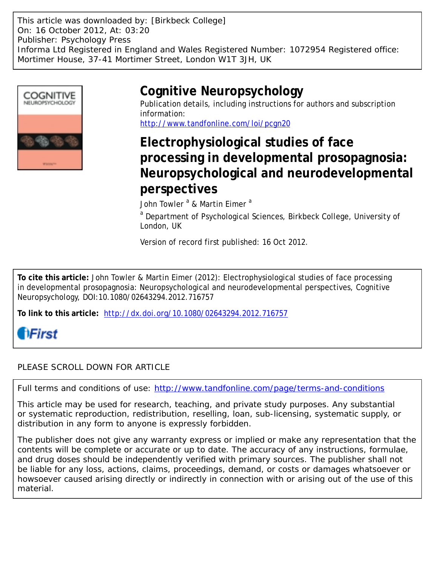This article was downloaded by: [Birkbeck College] On: 16 October 2012, At: 03:20 Publisher: Psychology Press Informa Ltd Registered in England and Wales Registered Number: 1072954 Registered office: Mortimer House, 37-41 Mortimer Street, London W1T 3JH, UK



## **Cognitive Neuropsychology**

Publication details, including instructions for authors and subscription information:

<http://www.tandfonline.com/loi/pcgn20>

## **Electrophysiological studies of face processing in developmental prosopagnosia: Neuropsychological and neurodevelopmental perspectives**

John Towler <sup>a</sup> & Martin Eimer <sup>a</sup>

<sup>a</sup> Department of Psychological Sciences, Birkbeck College, University of London, UK

Version of record first published: 16 Oct 2012.

**To cite this article:** John Towler & Martin Eimer (2012): Electrophysiological studies of face processing in developmental prosopagnosia: Neuropsychological and neurodevelopmental perspectives, Cognitive Neuropsychology, DOI:10.1080/02643294.2012.716757

**To link to this article:** <http://dx.doi.org/10.1080/02643294.2012.716757>

# **fiFirst**

### PLEASE SCROLL DOWN FOR ARTICLE

Full terms and conditions of use:<http://www.tandfonline.com/page/terms-and-conditions>

This article may be used for research, teaching, and private study purposes. Any substantial or systematic reproduction, redistribution, reselling, loan, sub-licensing, systematic supply, or distribution in any form to anyone is expressly forbidden.

The publisher does not give any warranty express or implied or make any representation that the contents will be complete or accurate or up to date. The accuracy of any instructions, formulae, and drug doses should be independently verified with primary sources. The publisher shall not be liable for any loss, actions, claims, proceedings, demand, or costs or damages whatsoever or howsoever caused arising directly or indirectly in connection with or arising out of the use of this material.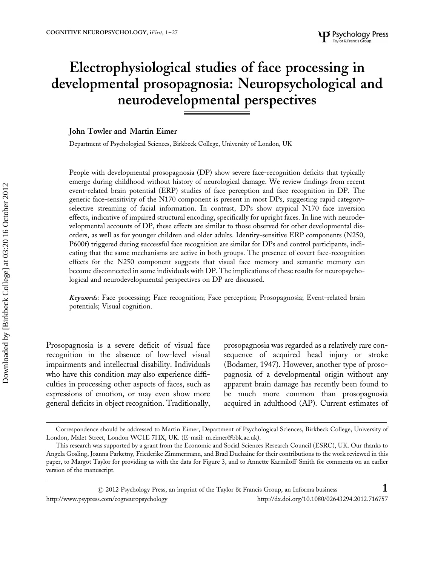# Electrophysiological studies of face processing in developmental prosopagnosia: Neuropsychological and neurodevelopmental perspectives

John Towler and Martin Eimer

Department of Psychological Sciences, Birkbeck College, University of London, UK

People with developmental prosopagnosia (DP) show severe face-recognition deficits that typically emerge during childhood without history of neurological damage. We review findings from recent event-related brain potential (ERP) studies of face perception and face recognition in DP. The generic face-sensitivity of the N170 component is present in most DPs, suggesting rapid categoryselective streaming of facial information. In contrast, DPs show atypical N170 face inversion effects, indicative of impaired structural encoding, specifically for upright faces. In line with neurodevelopmental accounts of DP, these effects are similar to those observed for other developmental disorders, as well as for younger children and older adults. Identity-sensitive ERP components (N250, P600f) triggered during successful face recognition are similar for DPs and control participants, indicating that the same mechanisms are active in both groups. The presence of covert face-recognition effects for the N250 component suggests that visual face memory and semantic memory can become disconnected in some individuals with DP. The implications of these results for neuropsychological and neurodevelopmental perspectives on DP are discussed.

Keywords: Face processing; Face recognition; Face perception; Prosopagnosia; Event-related brain potentials; Visual cognition.

Prosopagnosia is a severe deficit of visual face recognition in the absence of low-level visual impairments and intellectual disability. Individuals who have this condition may also experience difficulties in processing other aspects of faces, such as expressions of emotion, or may even show more general deficits in object recognition. Traditionally,

prosopagnosia was regarded as a relatively rare consequence of acquired head injury or stroke (Bodamer, 1947). However, another type of prosopagnosia of a developmental origin without any apparent brain damage has recently been found to be much more common than prosopagnosia acquired in adulthood (AP). Current estimates of

Correspondence should be addressed to Martin Eimer, Department of Psychological Sciences, Birkbeck College, University of London, Malet Street, London WC1E 7HX, UK. (E-mail: m.eimer@bbk.ac.uk).

This research was supported by a grant from the Economic and Social Sciences Research Council (ESRC), UK. Our thanks to Angela Gosling, Joanna Parketny, Friederike Zimmermann, and Brad Duchaine for their contributions to the work reviewed in this paper, to Margot Taylor for providing us with the data for Figure 3, and to Annette Karmiloff-Smith for comments on an earlier version of the manuscript.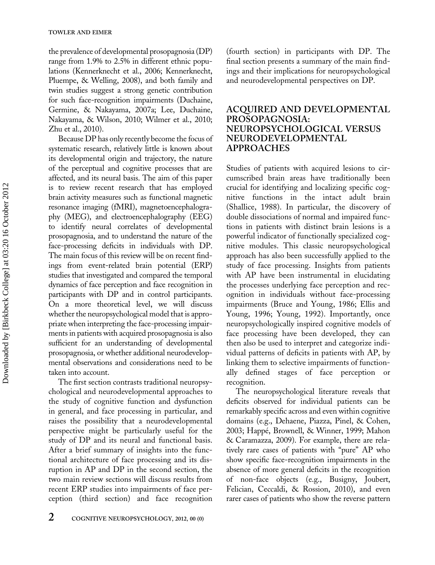the prevalence of developmental prosopagnosia (DP) range from 1.9% to 2.5% in different ethnic populations (Kennerknecht et al., 2006; Kennerknecht, Pluempe, & Welling, 2008), and both family and twin studies suggest a strong genetic contribution for such face-recognition impairments (Duchaine, Germine, & Nakayama, 2007a; Lee, Duchaine, Nakayama, & Wilson, 2010; Wilmer et al., 2010; Zhu et al., 2010).

Because DP has only recently become the focus of systematic research, relatively little is known about its developmental origin and trajectory, the nature of the perceptual and cognitive processes that are affected, and its neural basis. The aim of this paper is to review recent research that has employed brain activity measures such as functional magnetic resonance imaging (fMRI), magnetoencephalography (MEG), and electroencephalography (EEG) to identify neural correlates of developmental prosopagnosia, and to understand the nature of the face-processing deficits in individuals with DP. The main focus of this review will be on recent findings from event-related brain potential (ERP) studies that investigated and compared the temporal dynamics of face perception and face recognition in participants with DP and in control participants. On a more theoretical level, we will discuss whether the neuropsychological model that is appropriate when interpreting the face-processing impairments in patients with acquired prosopagnosia is also sufficient for an understanding of developmental prosopagnosia, or whether additional neurodevelopmental observations and considerations need to be taken into account.

The first section contrasts traditional neuropsychological and neurodevelopmental approaches to the study of cognitive function and dysfunction in general, and face processing in particular, and raises the possibility that a neurodevelopmental perspective might be particularly useful for the study of DP and its neural and functional basis. After a brief summary of insights into the functional architecture of face processing and its disruption in AP and DP in the second section, the two main review sections will discuss results from recent ERP studies into impairments of face perception (third section) and face recognition (fourth section) in participants with DP. The final section presents a summary of the main findings and their implications for neuropsychological and neurodevelopmental perspectives on DP.

#### ACQUIRED AND DEVELOPMENTAL PROSOPAGNOSIA: NEUROPSYCHOLOGICAL VERSUS NEURODEVELOPMENTAL APPROACHES

Studies of patients with acquired lesions to circumscribed brain areas have traditionally been crucial for identifying and localizing specific cognitive functions in the intact adult brain (Shallice, 1988). In particular, the discovery of double dissociations of normal and impaired functions in patients with distinct brain lesions is a powerful indicator of functionally specialized cognitive modules. This classic neuropsychological approach has also been successfully applied to the study of face processing. Insights from patients with AP have been instrumental in elucidating the processes underlying face perception and recognition in individuals without face-processing impairments (Bruce and Young, 1986; Ellis and Young, 1996; Young, 1992). Importantly, once neuropsychologically inspired cognitive models of face processing have been developed, they can then also be used to interpret and categorize individual patterns of deficits in patients with AP, by linking them to selective impairments of functionally defined stages of face perception or recognition.

The neuropsychological literature reveals that deficits observed for individual patients can be remarkably specific across and even within cognitive domains (e.g., Dehaene, Piazza, Pinel, & Cohen, 2003; Happé, Brownell, & Winner, 1999; Mahon & Caramazza, 2009). For example, there are relatively rare cases of patients with "pure" AP who show specific face-recognition impairments in the absence of more general deficits in the recognition of non-face objects (e.g., Busigny, Joubert, Felician, Ceccaldi, & Rossion, 2010), and even rarer cases of patients who show the reverse pattern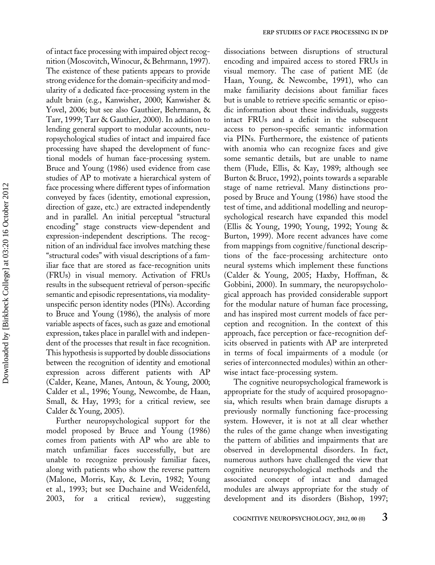of intact face processing with impaired object recognition (Moscovitch, Winocur, & Behrmann, 1997). The existence of these patients appears to provide strong evidence for the domain-specificity and modularity of a dedicated face-processing system in the adult brain (e.g., Kanwisher, 2000; Kanwisher & Yovel, 2006; but see also Gauthier, Behrmann, & Tarr, 1999; Tarr & Gauthier, 2000). In addition to lending general support to modular accounts, neuropsychological studies of intact and impaired face processing have shaped the development of functional models of human face-processing system. Bruce and Young (1986) used evidence from case studies of AP to motivate a hierarchical system of face processing where different types of information conveyed by faces (identity, emotional expression, direction of gaze, etc.) are extracted independently and in parallel. An initial perceptual "structural encoding" stage constructs view-dependent and expression-independent descriptions. The recognition of an individual face involves matching these "structural codes" with visual descriptions of a familiar face that are stored as face-recognition units (FRUs) in visual memory. Activation of FRUs results in the subsequent retrieval of person-specific semantic and episodic representations, via modalityunspecific person identity nodes (PINs). According to Bruce and Young (1986), the analysis of more variable aspects of faces, such as gaze and emotional expression, takes place in parallel with and independent of the processes that result in face recognition. This hypothesis is supported by double dissociations between the recognition of identity and emotional expression across different patients with AP (Calder, Keane, Manes, Antoun, & Young, 2000; Calder et al., 1996; Young, Newcombe, de Haan, Small, & Hay, 1993; for a critical review, see Calder & Young, 2005).

Further neuropsychological support for the model proposed by Bruce and Young (1986) comes from patients with AP who are able to match unfamiliar faces successfully, but are unable to recognize previously familiar faces, along with patients who show the reverse pattern (Malone, Morris, Kay, & Levin, 1982; Young et al., 1993; but see Duchaine and Weidenfeld, 2003, for a critical review), suggesting

dissociations between disruptions of structural encoding and impaired access to stored FRUs in visual memory. The case of patient ME (de Haan, Young, & Newcombe, 1991), who can make familiarity decisions about familiar faces but is unable to retrieve specific semantic or episodic information about these individuals, suggests intact FRUs and a deficit in the subsequent access to person-specific semantic information via PINs. Furthermore, the existence of patients with anomia who can recognize faces and give some semantic details, but are unable to name them (Flude, Ellis, & Kay, 1989; although see Burton & Bruce, 1992), points towards a separable stage of name retrieval. Many distinctions proposed by Bruce and Young (1986) have stood the test of time, and additional modelling and neuropsychological research have expanded this model (Ellis & Young, 1990; Young, 1992; Young & Burton, 1999). More recent advances have come from mappings from cognitive/functional descriptions of the face-processing architecture onto neural systems which implement these functions (Calder & Young, 2005; Haxby, Hoffman, & Gobbini, 2000). In summary, the neuropsychological approach has provided considerable support for the modular nature of human face processing, and has inspired most current models of face perception and recognition. In the context of this approach, face perception or face-recognition deficits observed in patients with AP are interpreted in terms of focal impairments of a module (or series of interconnected modules) within an otherwise intact face-processing system.

The cognitive neuropsychological framework is appropriate for the study of acquired prosopagnosia, which results when brain damage disrupts a previously normally functioning face-processing system. However, it is not at all clear whether the rules of the game change when investigating the pattern of abilities and impairments that are observed in developmental disorders. In fact, numerous authors have challenged the view that cognitive neuropsychological methods and the associated concept of intact and damaged modules are always appropriate for the study of development and its disorders (Bishop, 1997;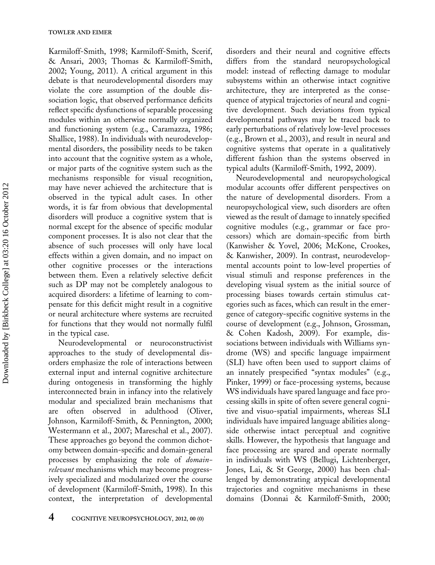Karmiloff-Smith, 1998; Karmiloff-Smith, Scerif, & Ansari, 2003; Thomas & Karmiloff-Smith, 2002; Young, 2011). A critical argument in this debate is that neurodevelopmental disorders may violate the core assumption of the double dissociation logic, that observed performance deficits reflect specific dysfunctions of separable processing modules within an otherwise normally organized and functioning system (e.g., Caramazza, 1986; Shallice, 1988). In individuals with neurodevelopmental disorders, the possibility needs to be taken into account that the cognitive system as a whole, or major parts of the cognitive system such as the mechanisms responsible for visual recognition, may have never achieved the architecture that is observed in the typical adult cases. In other words, it is far from obvious that developmental disorders will produce a cognitive system that is normal except for the absence of specific modular component processes. It is also not clear that the absence of such processes will only have local effects within a given domain, and no impact on other cognitive processes or the interactions between them. Even a relatively selective deficit such as DP may not be completely analogous to acquired disorders: a lifetime of learning to compensate for this deficit might result in a cognitive or neural architecture where systems are recruited for functions that they would not normally fulfil in the typical case.

Neurodevelopmental or neuroconstructivist approaches to the study of developmental disorders emphasize the role of interactions between external input and internal cognitive architecture during ontogenesis in transforming the highly interconnected brain in infancy into the relatively modular and specialized brain mechanisms that are often observed in adulthood (Oliver, Johnson, Karmiloff-Smith, & Pennington, 2000; Westermann et al., 2007; Mareschal et al., 2007). These approaches go beyond the common dichotomy between domain-specific and domain-general processes by emphasizing the role of domainrelevant mechanisms which may become progressively specialized and modularized over the course of development (Karmiloff-Smith, 1998). In this context, the interpretation of developmental disorders and their neural and cognitive effects differs from the standard neuropsychological model: instead of reflecting damage to modular subsystems within an otherwise intact cognitive architecture, they are interpreted as the consequence of atypical trajectories of neural and cognitive development. Such deviations from typical developmental pathways may be traced back to early perturbations of relatively low-level processes (e.g., Brown et al., 2003), and result in neural and cognitive systems that operate in a qualitatively different fashion than the systems observed in typical adults (Karmiloff-Smith, 1992, 2009).

Neurodevelopmental and neuropsychological modular accounts offer different perspectives on the nature of developmental disorders. From a neuropsychological view, such disorders are often viewed as the result of damage to innately specified cognitive modules (e.g., grammar or face processors) which are domain-specific from birth (Kanwisher & Yovel, 2006; McKone, Crookes, & Kanwisher, 2009). In contrast, neurodevelopmental accounts point to low-level properties of visual stimuli and response preferences in the developing visual system as the initial source of processing biases towards certain stimulus categories such as faces, which can result in the emergence of category-specific cognitive systems in the course of development (e.g., Johnson, Grossman, & Cohen Kadosh, 2009). For example, dissociations between individuals with Williams syndrome (WS) and specific language impairment (SLI) have often been used to support claims of an innately prespecified "syntax modules" (e.g., Pinker, 1999) or face-processing systems, because WS individuals have spared language and face processing skills in spite of often severe general cognitive and visuo-spatial impairments, whereas SLI individuals have impaired language abilities alongside otherwise intact perceptual and cognitive skills. However, the hypothesis that language and face processing are spared and operate normally in individuals with WS (Bellugi, Lichtenberger, Jones, Lai, & St George, 2000) has been challenged by demonstrating atypical developmental trajectories and cognitive mechanisms in these domains (Donnai & Karmiloff-Smith, 2000;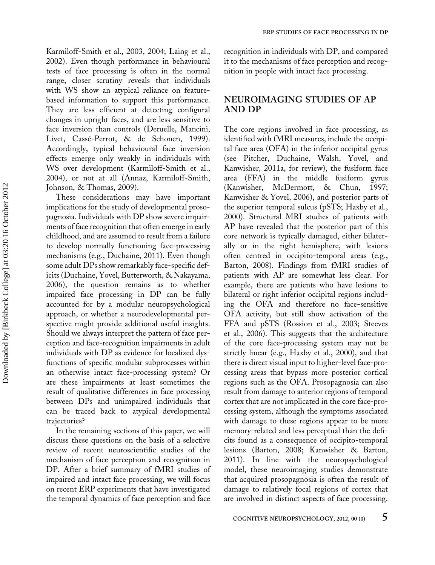Karmiloff-Smith et al., 2003, 2004; Laing et al., 2002). Even though performance in behavioural tests of face processing is often in the normal range, closer scrutiny reveals that individuals with WS show an atypical reliance on featurebased information to support this performance. They are less efficient at detecting configural changes in upright faces, and are less sensitive to face inversion than controls (Deruelle, Mancini, Livet, Cassé-Perrot, & de Schonen, 1999). Accordingly, typical behavioural face inversion effects emerge only weakly in individuals with WS over development (Karmiloff-Smith et al., 2004), or not at all (Annaz, Karmiloff-Smith, Johnson, & Thomas, 2009).

These considerations may have important implications for the study of developmental prosopagnosia. Individuals with DP show severe impairments of face recognition that often emerge in early childhood, and are assumed to result from a failure to develop normally functioning face-processing mechanisms (e.g., Duchaine, 2011). Even though some adult DPs show remarkably face-specific deficits (Duchaine, Yovel, Butterworth, & Nakayama, 2006), the question remains as to whether impaired face processing in DP can be fully accounted for by a modular neuropsychological approach, or whether a neurodevelopmental perspective might provide additional useful insights. Should we always interpret the pattern of face perception and face-recognition impairments in adult individuals with DP as evidence for localized dysfunctions of specific modular subprocesses within an otherwise intact face-processing system? Or are these impairments at least sometimes the result of qualitative differences in face processing between DPs and unimpaired individuals that can be traced back to atypical developmental trajectories?

In the remaining sections of this paper, we will discuss these questions on the basis of a selective review of recent neuroscientific studies of the mechanism of face perception and recognition in DP. After a brief summary of fMRI studies of impaired and intact face processing, we will focus on recent ERP experiments that have investigated the temporal dynamics of face perception and face

recognition in individuals with DP, and compared it to the mechanisms of face perception and recognition in people with intact face processing.

#### NEUROIMAGING STUDIES OF AP AND DP

The core regions involved in face processing, as identified with fMRI measures, include the occipital face area (OFA) in the inferior occipital gyrus (see Pitcher, Duchaine, Walsh, Yovel, and Kanwisher, 2011a, for review), the fusiform face area (FFA) in the middle fusiform gyrus (Kanwisher, McDermott, & Chun, 1997; Kanwisher & Yovel, 2006), and posterior parts of the superior temporal sulcus (pSTS; Haxby et al., 2000). Structural MRI studies of patients with AP have revealed that the posterior part of this core network is typically damaged, either bilaterally or in the right hemisphere, with lesions often centred in occipito-temporal areas (e.g., Barton, 2008). Findings from fMRI studies of patients with AP are somewhat less clear. For example, there are patients who have lesions to bilateral or right inferior occipital regions including the OFA and therefore no face-sensitive OFA activity, but still show activation of the FFA and pSTS (Rossion et al., 2003; Steeves et al., 2006). This suggests that the architecture of the core face-processing system may not be strictly linear (e.g., Haxby et al., 2000), and that there is direct visual input to higher-level face-processing areas that bypass more posterior cortical regions such as the OFA. Prosopagnosia can also result from damage to anterior regions of temporal cortex that are not implicated in the core face-processing system, although the symptoms associated with damage to these regions appear to be more memory-related and less perceptual than the deficits found as a consequence of occipito-temporal lesions (Barton, 2008; Kanwisher & Barton, 2011). In line with the neuropsychological model, these neuroimaging studies demonstrate that acquired prosopagnosia is often the result of damage to relatively focal regions of cortex that are involved in distinct aspects of face processing.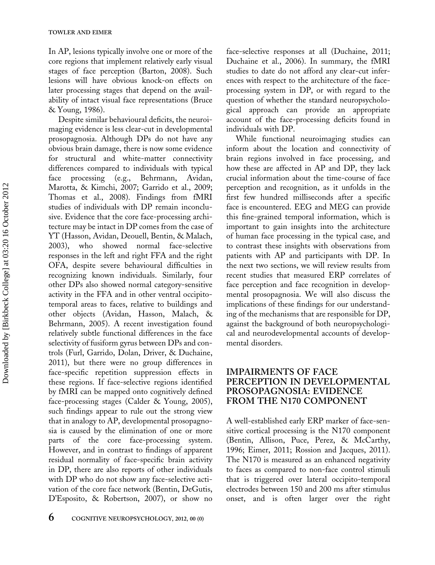In AP, lesions typically involve one or more of the core regions that implement relatively early visual stages of face perception (Barton, 2008). Such lesions will have obvious knock-on effects on later processing stages that depend on the availability of intact visual face representations (Bruce & Young, 1986).

Despite similar behavioural deficits, the neuroimaging evidence is less clear-cut in developmental prosopagnosia. Although DPs do not have any obvious brain damage, there is now some evidence for structural and white-matter connectivity differences compared to individuals with typical face processing (e.g., Behrmann, Avidan, Marotta, & Kimchi, 2007; Garrido et al., 2009; Thomas et al., 2008). Findings from fMRI studies of individuals with DP remain inconclusive. Evidence that the core face-processing architecture may be intact in DP comes from the case of YT (Hasson, Avidan, Deouell, Bentin, & Malach, 2003), who showed normal face-selective responses in the left and right FFA and the right OFA, despite severe behavioural difficulties in recognizing known individuals. Similarly, four other DPs also showed normal category-sensitive activity in the FFA and in other ventral occipitotemporal areas to faces, relative to buildings and other objects (Avidan, Hasson, Malach, & Behrmann, 2005). A recent investigation found relatively subtle functional differences in the face selectivity of fusiform gyrus between DPs and controls (Furl, Garrido, Dolan, Driver, & Duchaine, 2011), but there were no group differences in face-specific repetition suppression effects in these regions. If face-selective regions identified by fMRI can be mapped onto cognitively defined face-processing stages (Calder & Young, 2005), such findings appear to rule out the strong view that in analogy to AP, developmental prosopagnosia is caused by the elimination of one or more parts of the core face-processing system. However, and in contrast to findings of apparent residual normality of face-specific brain activity in DP, there are also reports of other individuals with DP who do not show any face-selective activation of the core face network (Bentin, DeGutis, D'Esposito, & Robertson, 2007), or show no

6 COGNITIVE NEUROPSYCHOLOGY, 2012, 00 (0)

face-selective responses at all (Duchaine, 2011; Duchaine et al., 2006). In summary, the fMRI studies to date do not afford any clear-cut inferences with respect to the architecture of the faceprocessing system in DP, or with regard to the question of whether the standard neuropsychological approach can provide an appropriate account of the face-processing deficits found in individuals with DP.

While functional neuroimaging studies can inform about the location and connectivity of brain regions involved in face processing, and how these are affected in AP and DP, they lack crucial information about the time-course of face perception and recognition, as it unfolds in the first few hundred milliseconds after a specific face is encountered. EEG and MEG can provide this fine-grained temporal information, which is important to gain insights into the architecture of human face processing in the typical case, and to contrast these insights with observations from patients with AP and participants with DP. In the next two sections, we will review results from recent studies that measured ERP correlates of face perception and face recognition in developmental prosopagnosia. We will also discuss the implications of these findings for our understanding of the mechanisms that are responsible for DP, against the background of both neuropsychological and neurodevelopmental accounts of developmental disorders.

#### IMPAIRMENTS OF FACE PERCEPTION IN DEVELOPMENTAL PROSOPAGNOSIA: EVIDENCE FROM THE N170 COMPONENT

A well-established early ERP marker of face-sensitive cortical processing is the N170 component (Bentin, Allison, Puce, Perez, & McCarthy, 1996; Eimer, 2011; Rossion and Jacques, 2011). The N170 is measured as an enhanced negativity to faces as compared to non-face control stimuli that is triggered over lateral occipito-temporal electrodes between 150 and 200 ms after stimulus onset, and is often larger over the right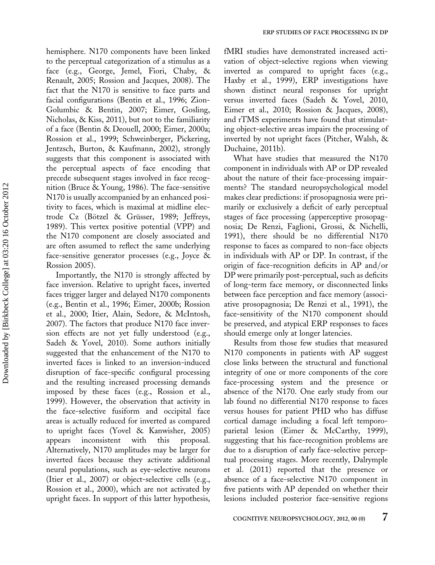hemisphere. N170 components have been linked to the perceptual categorization of a stimulus as a face (e.g., George, Jemel, Fiori, Chaby, & Renault, 2005; Rossion and Jacques, 2008). The fact that the N170 is sensitive to face parts and facial configurations (Bentin et al., 1996; Zion-Golumbic & Bentin, 2007; Eimer, Gosling, Nicholas, & Kiss, 2011), but not to the familiarity of a face (Bentin & Deouell, 2000; Eimer, 2000a; Rossion et al., 1999; Schweinberger, Pickering, Jentzsch, Burton, & Kaufmann, 2002), strongly suggests that this component is associated with the perceptual aspects of face encoding that precede subsequent stages involved in face recognition (Bruce & Young, 1986). The face-sensitive N170 is usually accompanied by an enhanced positivity to faces, which is maximal at midline electrode Cz (Bötzel & Grüsser, 1989; Jeffreys, 1989). This vertex positive potential (VPP) and the N170 component are closely associated and are often assumed to reflect the same underlying face-sensitive generator processes (e.g., Joyce & Rossion 2005).

Importantly, the N170 is strongly affected by face inversion. Relative to upright faces, inverted faces trigger larger and delayed N170 components (e.g., Bentin et al., 1996; Eimer, 2000b; Rossion et al., 2000; Itier, Alain, Sedore, & McIntosh, 2007). The factors that produce N170 face inversion effects are not yet fully understood (e.g., Sadeh & Yovel, 2010). Some authors initially suggested that the enhancement of the N170 to inverted faces is linked to an inversion-induced disruption of face-specific configural processing and the resulting increased processing demands imposed by these faces (e.g., Rossion et al., 1999). However, the observation that activity in the face-selective fusiform and occipital face areas is actually reduced for inverted as compared to upright faces (Yovel & Kanwisher, 2005) appears inconsistent with this proposal. Alternatively, N170 amplitudes may be larger for inverted faces because they activate additional neural populations, such as eye-selective neurons (Itier et al., 2007) or object-selective cells (e.g., Rossion et al., 2000), which are not activated by upright faces. In support of this latter hypothesis,

fMRI studies have demonstrated increased activation of object-selective regions when viewing inverted as compared to upright faces (e.g., Haxby et al., 1999), ERP investigations have shown distinct neural responses for upright versus inverted faces (Sadeh & Yovel, 2010, Eimer et al., 2010; Rossion & Jacques, 2008), and rTMS experiments have found that stimulating object-selective areas impairs the processing of inverted by not upright faces (Pitcher, Walsh, & Duchaine, 2011b).

What have studies that measured the N170 component in individuals with AP or DP revealed about the nature of their face-processing impairments? The standard neuropsychological model makes clear predictions: if prosopagnosia were primarily or exclusively a deficit of early perceptual stages of face processing (apperceptive prosopagnosia; De Renzi, Faglioni, Grossi, & Nichelli, 1991), there should be no differential N170 response to faces as compared to non-face objects in individuals with AP or DP. In contrast, if the origin of face-recognition deficits in AP and/or DP were primarily post-perceptual, such as deficits of long-term face memory, or disconnected links between face perception and face memory (associative prosopagnosia; De Renzi et al., 1991), the face-sensitivity of the N170 component should be preserved, and atypical ERP responses to faces should emerge only at longer latencies.

Results from those few studies that measured N170 components in patients with AP suggest close links between the structural and functional integrity of one or more components of the core face-processing system and the presence or absence of the N170. One early study from our lab found no differential N170 response to faces versus houses for patient PHD who has diffuse cortical damage including a focal left temporoparietal lesion (Eimer & McCarthy, 1999), suggesting that his face-recognition problems are due to a disruption of early face-selective perceptual processing stages. More recently, Dalrymple et al. (2011) reported that the presence or absence of a face-selective N170 component in five patients with AP depended on whether their lesions included posterior face-sensitive regions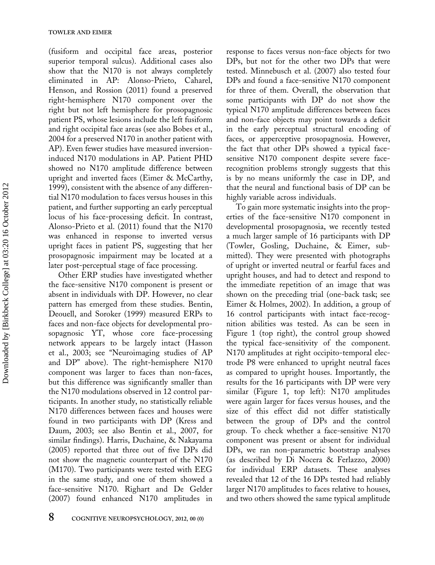(fusiform and occipital face areas, posterior superior temporal sulcus). Additional cases also show that the N170 is not always completely eliminated in AP: Alonso-Prieto, Caharel, Henson, and Rossion (2011) found a preserved right-hemisphere N170 component over the right but not left hemisphere for prosopagnosic patient PS, whose lesions include the left fusiform and right occipital face areas (see also Bobes et al., 2004 for a preserved N170 in another patient with AP). Even fewer studies have measured inversioninduced N170 modulations in AP. Patient PHD showed no N170 amplitude difference between upright and inverted faces (Eimer & McCarthy, 1999), consistent with the absence of any differential N170 modulation to faces versus houses in this patient, and further supporting an early perceptual locus of his face-processing deficit. In contrast, Alonso-Prieto et al. (2011) found that the N170 was enhanced in response to inverted versus upright faces in patient PS, suggesting that her prosopagnosic impairment may be located at a later post-perceptual stage of face processing.

Other ERP studies have investigated whether the face-sensitive N170 component is present or absent in individuals with DP. However, no clear pattern has emerged from these studies. Bentin, Deouell, and Soroker (1999) measured ERPs to faces and non-face objects for developmental prosopagnosic YT, whose core face-processing network appears to be largely intact (Hasson et al., 2003; see "Neuroimaging studies of AP and DP" above). The right-hemisphere N170 component was larger to faces than non-faces, but this difference was significantly smaller than the N170 modulations observed in 12 control participants. In another study, no statistically reliable N170 differences between faces and houses were found in two participants with DP (Kress and Daum, 2003; see also Bentin et al., 2007, for similar findings). Harris, Duchaine, & Nakayama (2005) reported that three out of five DPs did not show the magnetic counterpart of the N170 (M170). Two participants were tested with EEG in the same study, and one of them showed a face-sensitive N170. Righart and De Gelder (2007) found enhanced N170 amplitudes in response to faces versus non-face objects for two DPs, but not for the other two DPs that were tested. Minnebusch et al. (2007) also tested four DPs and found a face-sensitive N170 component for three of them. Overall, the observation that some participants with DP do not show the typical N170 amplitude differences between faces and non-face objects may point towards a deficit in the early perceptual structural encoding of faces, or apperceptive prosopagnosia. However, the fact that other DPs showed a typical facesensitive N170 component despite severe facerecognition problems strongly suggests that this is by no means uniformly the case in DP, and that the neural and functional basis of DP can be highly variable across individuals.

To gain more systematic insights into the properties of the face-sensitive N170 component in developmental prosopagnosia, we recently tested a much larger sample of 16 participants with DP (Towler, Gosling, Duchaine, & Eimer, submitted). They were presented with photographs of upright or inverted neutral or fearful faces and upright houses, and had to detect and respond to the immediate repetition of an image that was shown on the preceding trial (one-back task; see Eimer & Holmes, 2002). In addition, a group of 16 control participants with intact face-recognition abilities was tested. As can be seen in Figure 1 (top right), the control group showed the typical face-sensitivity of the component. N170 amplitudes at right occipito-temporal electrode P8 were enhanced to upright neutral faces as compared to upright houses. Importantly, the results for the 16 participants with DP were very similar (Figure 1, top left): N170 amplitudes were again larger for faces versus houses, and the size of this effect did not differ statistically between the group of DPs and the control group. To check whether a face-sensitive N170 component was present or absent for individual DPs, we ran non-parametric bootstrap analyses (as described by Di Nocera & Ferlazzo, 2000) for individual ERP datasets. These analyses revealed that 12 of the 16 DPs tested had reliably larger N170 amplitudes to faces relative to houses, and two others showed the same typical amplitude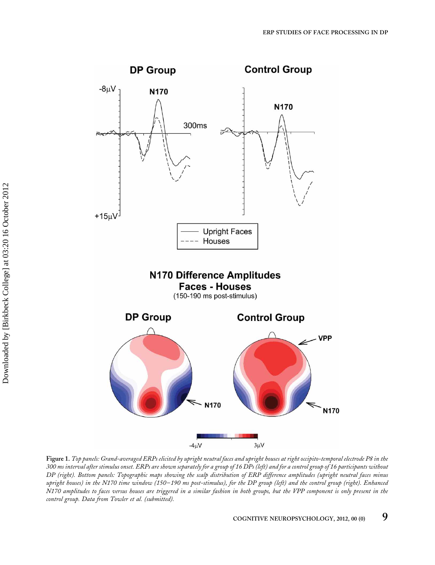

Figure 1. Top panels: Grand-averaged ERPs elicited by upright neutral faces and upright houses at right occipito-temporal electrode P8 in the 300 ms interval after stimulus onset. ERPs are shown separately for a group of 16 DPs (left) and for a control group of 16 participants without DP (right). Bottom panels: Topographic maps showing the scalp distribution of ERP difference amplitudes (upright neutral faces minus upright houses) in the N170 time window (150–190 ms post-stimulus), for the DP group (left) and the control group (right). Enhanced N170 amplitudes to faces versus houses are triggered in a similar fashion in both groups, but the VPP component is only present in the control group. Data from Towler et al. (submitted).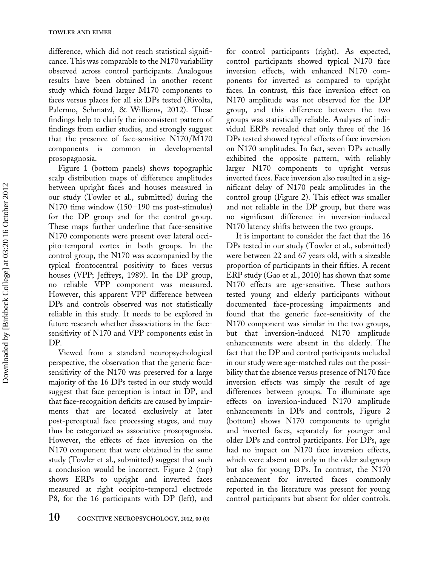difference, which did not reach statistical significance. This was comparable to the N170 variability observed across control participants. Analogous results have been obtained in another recent study which found larger M170 components to faces versus places for all six DPs tested (Rivolta, Palermo, Schmatzl, & Williams, 2012). These findings help to clarify the inconsistent pattern of findings from earlier studies, and strongly suggest that the presence of face-sensitive N170/M170 components is common in developmental prosopagnosia.

Figure 1 (bottom panels) shows topographic scalp distribution maps of difference amplitudes between upright faces and houses measured in our study (Towler et al., submitted) during the N170 time window  $(150-190 \text{ ms post-stimulus})$ for the DP group and for the control group. These maps further underline that face-sensitive N170 components were present over lateral occipito-temporal cortex in both groups. In the control group, the N170 was accompanied by the typical frontocentral positivity to faces versus houses (VPP; Jeffreys, 1989). In the DP group, no reliable VPP component was measured. However, this apparent VPP difference between DPs and controls observed was not statistically reliable in this study. It needs to be explored in future research whether dissociations in the facesensitivity of N170 and VPP components exist in DP.

Viewed from a standard neuropsychological perspective, the observation that the generic facesensitivity of the N170 was preserved for a large majority of the 16 DPs tested in our study would suggest that face perception is intact in DP, and that face-recognition deficits are caused by impairments that are located exclusively at later post-perceptual face processing stages, and may thus be categorized as associative prosopagnosia. However, the effects of face inversion on the N170 component that were obtained in the same study (Towler et al., submitted) suggest that such a conclusion would be incorrect. Figure 2 (top) shows ERPs to upright and inverted faces measured at right occipito-temporal electrode P8, for the 16 participants with DP (left), and

10 COGNITIVE NEUROPSYCHOLOGY, 2012, 00 (0)

for control participants (right). As expected, control participants showed typical N170 face inversion effects, with enhanced N170 components for inverted as compared to upright faces. In contrast, this face inversion effect on N170 amplitude was not observed for the DP group, and this difference between the two groups was statistically reliable. Analyses of individual ERPs revealed that only three of the 16 DPs tested showed typical effects of face inversion on N170 amplitudes. In fact, seven DPs actually exhibited the opposite pattern, with reliably larger N170 components to upright versus inverted faces. Face inversion also resulted in a significant delay of N170 peak amplitudes in the control group (Figure 2). This effect was smaller and not reliable in the DP group, but there was no significant difference in inversion-induced N170 latency shifts between the two groups.

It is important to consider the fact that the 16 DPs tested in our study (Towler et al., submitted) were between 22 and 67 years old, with a sizeable proportion of participants in their fifties. A recent ERP study (Gao et al., 2010) has shown that some N170 effects are age-sensitive. These authors tested young and elderly participants without documented face-processing impairments and found that the generic face-sensitivity of the N170 component was similar in the two groups, but that inversion-induced N170 amplitude enhancements were absent in the elderly. The fact that the DP and control participants included in our study were age-matched rules out the possibility that the absence versus presence of N170 face inversion effects was simply the result of age differences between groups. To illuminate age effects on inversion-induced N170 amplitude enhancements in DPs and controls, Figure 2 (bottom) shows N170 components to upright and inverted faces, separately for younger and older DPs and control participants. For DPs, age had no impact on N170 face inversion effects, which were absent not only in the older subgroup but also for young DPs. In contrast, the N170 enhancement for inverted faces commonly reported in the literature was present for young control participants but absent for older controls.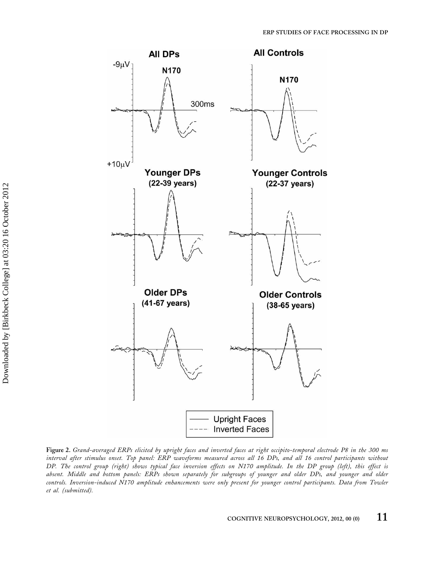

Figure 2. Grand-averaged ERPs elicited by upright faces and inverted faces at right occipito-temporal electrode P8 in the 300 ms interval after stimulus onset. Top panel: ERP waveforms measured across all 16 DPs, and all 16 control participants without DP. The control group (right) shows typical face inversion effects on N170 amplitude. In the DP group (left), this effect is absent. Middle and bottom panels: ERPs shown separately for subgroups of younger and older DPs, and younger and older controls. Inversion-induced N170 amplitude enhancements were only present for younger control participants. Data from Towler et al. (submitted).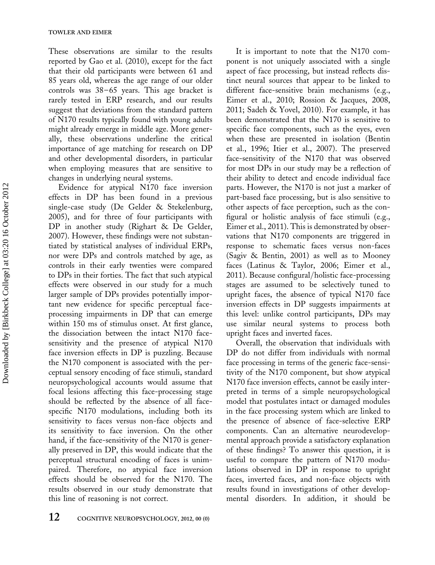These observations are similar to the results reported by Gao et al. (2010), except for the fact that their old participants were between 61 and 85 years old, whereas the age range of our older controls was  $38-65$  years. This age bracket is rarely tested in ERP research, and our results suggest that deviations from the standard pattern of N170 results typically found with young adults might already emerge in middle age. More generally, these observations underline the critical importance of age matching for research on DP and other developmental disorders, in particular when employing measures that are sensitive to changes in underlying neural systems.

Evidence for atypical N170 face inversion effects in DP has been found in a previous single-case study (De Gelder & Stekelenburg, 2005), and for three of four participants with DP in another study (Righart & De Gelder, 2007). However, these findings were not substantiated by statistical analyses of individual ERPs, nor were DPs and controls matched by age, as controls in their early twenties were compared to DPs in their forties. The fact that such atypical effects were observed in our study for a much larger sample of DPs provides potentially important new evidence for specific perceptual faceprocessing impairments in DP that can emerge within 150 ms of stimulus onset. At first glance, the dissociation between the intact N170 facesensitivity and the presence of atypical N170 face inversion effects in DP is puzzling. Because the N170 component is associated with the perceptual sensory encoding of face stimuli, standard neuropsychological accounts would assume that focal lesions affecting this face-processing stage should be reflected by the absence of all facespecific N170 modulations, including both its sensitivity to faces versus non-face objects and its sensitivity to face inversion. On the other hand, if the face-sensitivity of the N170 is generally preserved in DP, this would indicate that the perceptual structural encoding of faces is unimpaired. Therefore, no atypical face inversion effects should be observed for the N170. The results observed in our study demonstrate that this line of reasoning is not correct.

12 COGNITIVE NEUROPSYCHOLOGY, 2012, 00 (0)

It is important to note that the N170 component is not uniquely associated with a single aspect of face processing, but instead reflects distinct neural sources that appear to be linked to different face-sensitive brain mechanisms (e.g., Eimer et al., 2010; Rossion & Jacques, 2008, 2011; Sadeh & Yovel, 2010). For example, it has been demonstrated that the N170 is sensitive to specific face components, such as the eyes, even when these are presented in isolation (Bentin et al., 1996; Itier et al., 2007). The preserved face-sensitivity of the N170 that was observed for most DPs in our study may be a reflection of their ability to detect and encode individual face parts. However, the N170 is not just a marker of part-based face processing, but is also sensitive to other aspects of face perception, such as the configural or holistic analysis of face stimuli (e.g., Eimer et al., 2011). This is demonstrated by observations that N170 components are triggered in response to schematic faces versus non-faces (Sagiv & Bentin, 2001) as well as to Mooney faces (Latinus & Taylor, 2006; Eimer et al., 2011). Because configural/holistic face-processing stages are assumed to be selectively tuned to upright faces, the absence of typical N170 face inversion effects in DP suggests impairments at this level: unlike control participants, DPs may use similar neural systems to process both upright faces and inverted faces.

Overall, the observation that individuals with DP do not differ from individuals with normal face processing in terms of the generic face-sensitivity of the N170 component, but show atypical N170 face inversion effects, cannot be easily interpreted in terms of a simple neuropsychological model that postulates intact or damaged modules in the face processing system which are linked to the presence of absence of face-selective ERP components. Can an alternative neurodevelopmental approach provide a satisfactory explanation of these findings? To answer this question, it is useful to compare the pattern of N170 modulations observed in DP in response to upright faces, inverted faces, and non-face objects with results found in investigations of other developmental disorders. In addition, it should be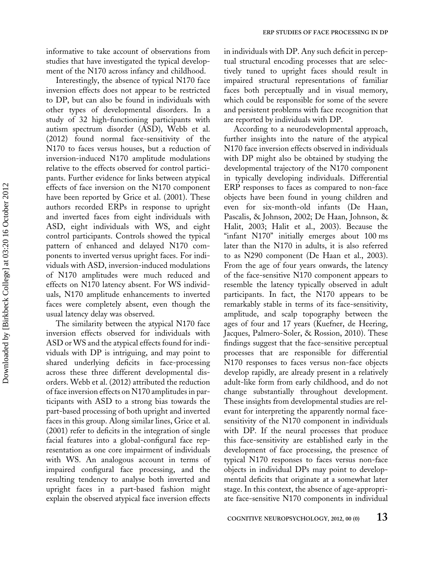informative to take account of observations from studies that have investigated the typical development of the N170 across infancy and childhood.

Interestingly, the absence of typical N170 face inversion effects does not appear to be restricted to DP, but can also be found in individuals with other types of developmental disorders. In a study of 32 high-functioning participants with autism spectrum disorder (ASD), Webb et al. (2012) found normal face-sensitivity of the N170 to faces versus houses, but a reduction of inversion-induced N170 amplitude modulations relative to the effects observed for control participants. Further evidence for links between atypical effects of face inversion on the N170 component have been reported by Grice et al. (2001). These authors recorded ERPs in response to upright and inverted faces from eight individuals with ASD, eight individuals with WS, and eight control participants. Controls showed the typical pattern of enhanced and delayed N170 components to inverted versus upright faces. For individuals with ASD, inversion-induced modulations of N170 amplitudes were much reduced and effects on N170 latency absent. For WS individuals, N170 amplitude enhancements to inverted faces were completely absent, even though the usual latency delay was observed.

The similarity between the atypical N170 face inversion effects observed for individuals with ASD or WS and the atypical effects found for individuals with DP is intriguing, and may point to shared underlying deficits in face-processing across these three different developmental disorders. Webb et al. (2012) attributed the reduction of face inversion effects on N170 amplitudes in participants with ASD to a strong bias towards the part-based processing of both upright and inverted faces in this group. Along similar lines, Grice et al. (2001) refer to deficits in the integration of single facial features into a global-configural face representation as one core impairment of individuals with WS. An analogous account in terms of impaired configural face processing, and the resulting tendency to analyse both inverted and upright faces in a part-based fashion might explain the observed atypical face inversion effects

in individuals with DP. Any such deficit in perceptual structural encoding processes that are selectively tuned to upright faces should result in impaired structural representations of familiar faces both perceptually and in visual memory, which could be responsible for some of the severe and persistent problems with face recognition that are reported by individuals with DP.

According to a neurodevelopmental approach, further insights into the nature of the atypical N170 face inversion effects observed in individuals with DP might also be obtained by studying the developmental trajectory of the N170 component in typically developing individuals. Differential ERP responses to faces as compared to non-face objects have been found in young children and even for six-month-old infants (De Haan, Pascalis, & Johnson, 2002; De Haan, Johnson, & Halit, 2003; Halit et al., 2003). Because the "infant N170" initially emerges about 100 ms later than the N170 in adults, it is also referred to as N290 component (De Haan et al., 2003). From the age of four years onwards, the latency of the face-sensitive N170 component appears to resemble the latency typically observed in adult participants. In fact, the N170 appears to be remarkably stable in terms of its face-sensitivity, amplitude, and scalp topography between the ages of four and 17 years (Kuefner, de Heering, Jacques, Palmero-Soler, & Rossion, 2010). These findings suggest that the face-sensitive perceptual processes that are responsible for differential N170 responses to faces versus non-face objects develop rapidly, are already present in a relatively adult-like form from early childhood, and do not change substantially throughout development. These insights from developmental studies are relevant for interpreting the apparently normal facesensitivity of the N170 component in individuals with DP. If the neural processes that produce this face-sensitivity are established early in the development of face processing, the presence of typical N170 responses to faces versus non-face objects in individual DPs may point to developmental deficits that originate at a somewhat later stage. In this context, the absence of age-appropriate face-sensitive N170 components in individual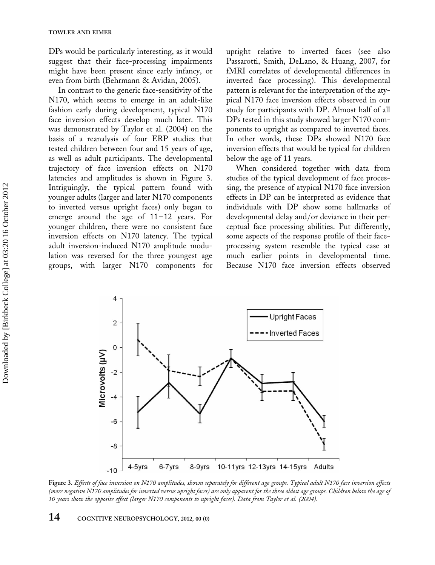DPs would be particularly interesting, as it would suggest that their face-processing impairments might have been present since early infancy, or even from birth (Behrmann & Avidan, 2005).

In contrast to the generic face-sensitivity of the N170, which seems to emerge in an adult-like fashion early during development, typical N170 face inversion effects develop much later. This was demonstrated by Taylor et al. (2004) on the basis of a reanalysis of four ERP studies that tested children between four and 15 years of age, as well as adult participants. The developmental trajectory of face inversion effects on N170 latencies and amplitudes is shown in Figure 3. Intriguingly, the typical pattern found with younger adults (larger and later N170 components to inverted versus upright faces) only began to emerge around the age of  $11-12$  years. For younger children, there were no consistent face inversion effects on N170 latency. The typical adult inversion-induced N170 amplitude modulation was reversed for the three youngest age groups, with larger N170 components for upright relative to inverted faces (see also Passarotti, Smith, DeLano, & Huang, 2007, for fMRI correlates of developmental differences in inverted face processing). This developmental pattern is relevant for the interpretation of the atypical N170 face inversion effects observed in our study for participants with DP. Almost half of all DPs tested in this study showed larger N170 components to upright as compared to inverted faces. In other words, these DPs showed N170 face inversion effects that would be typical for children below the age of 11 years.

When considered together with data from studies of the typical development of face processing, the presence of atypical N170 face inversion effects in DP can be interpreted as evidence that individuals with DP show some hallmarks of developmental delay and/or deviance in their perceptual face processing abilities. Put differently, some aspects of the response profile of their faceprocessing system resemble the typical case at much earlier points in developmental time. Because N170 face inversion effects observed



Figure 3. Effects of face inversion on N170 amplitudes, shown separately for different age groups. Typical adult N170 face inversion effects (more negative N170 amplitudes for inverted versus upright faces) are only apparent for the three oldest age groups. Children below the age of 10 years show the opposite effect (larger N170 components to upright faces). Data from Taylor et al. (2004).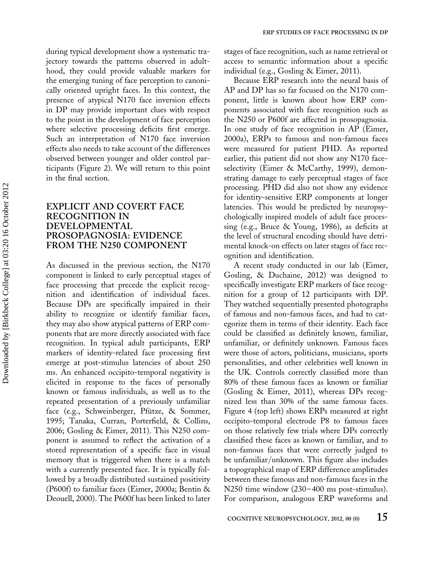during typical development show a systematic trajectory towards the patterns observed in adulthood, they could provide valuable markers for the emerging tuning of face perception to canonically oriented upright faces. In this context, the presence of atypical N170 face inversion effects in DP may provide important clues with respect to the point in the development of face perception where selective processing deficits first emerge. Such an interpretation of N170 face inversion effects also needs to take account of the differences observed between younger and older control participants (Figure 2). We will return to this point in the final section.

#### EXPLICIT AND COVERT FACE RECOGNITION IN DEVELOPMENTAL PROSOPAGNOSIA: EVIDENCE FROM THE N250 COMPONENT

As discussed in the previous section, the N170 component is linked to early perceptual stages of face processing that precede the explicit recognition and identification of individual faces. Because DPs are specifically impaired in their ability to recognize or identify familiar faces, they may also show atypical patterns of ERP components that are more directly associated with face recognition. In typical adult participants, ERP markers of identity-related face processing first emerge at post-stimulus latencies of about 250 ms. An enhanced occipito-temporal negativity is elicited in response to the faces of personally known or famous individuals, as well as to the repeated presentation of a previously unfamiliar face (e.g., Schweinberger, Pfütze, & Sommer, 1995; Tanaka, Curran, Porterfield, & Collins, 2006; Gosling & Eimer, 2011). This N250 component is assumed to reflect the activation of a stored representation of a specific face in visual memory that is triggered when there is a match with a currently presented face. It is typically followed by a broadly distributed sustained positivity (P600f) to familiar faces (Eimer, 2000a; Bentin & Deouell, 2000). The P600f has been linked to later

stages of face recognition, such as name retrieval or access to semantic information about a specific individual (e.g., Gosling & Eimer, 2011).

Because ERP research into the neural basis of AP and DP has so far focused on the N170 component, little is known about how ERP components associated with face recognition such as the N250 or P600f are affected in prosopagnosia. In one study of face recognition in AP (Eimer, 2000a), ERPs to famous and non-famous faces were measured for patient PHD. As reported earlier, this patient did not show any N170 faceselectivity (Eimer & McCarthy, 1999), demonstrating damage to early perceptual stages of face processing. PHD did also not show any evidence for identity-sensitive ERP components at longer latencies. This would be predicted by neuropsychologically inspired models of adult face processing (e.g., Bruce & Young, 1986), as deficits at the level of structural encoding should have detrimental knock-on effects on later stages of face recognition and identification.

A recent study conducted in our lab (Eimer, Gosling, & Duchaine, 2012) was designed to specifically investigate ERP markers of face recognition for a group of 12 participants with DP. They watched sequentially presented photographs of famous and non-famous faces, and had to categorize them in terms of their identity. Each face could be classified as definitely known, familiar, unfamiliar, or definitely unknown. Famous faces were those of actors, politicians, musicians, sports personalities, and other celebrities well known in the UK. Controls correctly classified more than 80% of these famous faces as known or familiar (Gosling & Eimer, 2011), whereas DPs recognized less than 30% of the same famous faces. Figure 4 (top left) shows ERPs measured at right occipito-temporal electrode P8 to famous faces on those relatively few trials where DPs correctly classified these faces as known or familiar, and to non-famous faces that were correctly judged to be unfamiliar/unknown. This figure also includes a topographical map of ERP difference amplitudes between these famous and non-famous faces in the N250 time window (230-400 ms post-stimulus). For comparison, analogous ERP waveforms and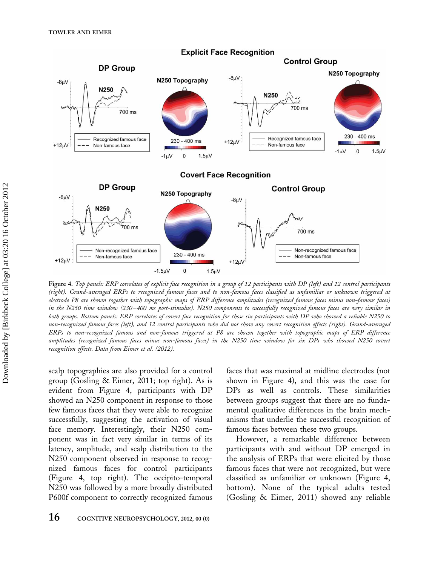

Figure 4. Top panels: ERP correlates of explicit face recognition in a group of 12 participants with DP (left) and 12 control participants (right). Grand-averaged ERPs to recognized famous faces and to non-famous faces classified as unfamiliar or unknown triggered at electrode P8 are shown together with topographic maps of ERP difference amplitudes (recognized famous faces minus non-famous faces) in the N250 time window (230–400 ms post-stimulus). N250 components to successfully recognized famous faces are very similar in both groups. Bottom panels: ERP correlates of covert face recognition for those six participants with DP who showed a reliable N250 to non-recognized famous faces (left), and 12 control participants who did not show any covert recognition effects (right). Grand-averaged ERPs to non-recognized famous and non-famous triggered at P8 are shown together with topographic maps of ERP difference amplitudes (recognized famous faces minus non-famous faces) in the N250 time window for six DPs who showed N250 covert recognition effects. Data from Eimer et al. (2012).

scalp topographies are also provided for a control group (Gosling & Eimer, 2011; top right). As is evident from Figure 4, participants with DP showed an N250 component in response to those few famous faces that they were able to recognize successfully, suggesting the activation of visual face memory. Interestingly, their N250 component was in fact very similar in terms of its latency, amplitude, and scalp distribution to the N250 component observed in response to recognized famous faces for control participants (Figure 4, top right). The occipito-temporal N250 was followed by a more broadly distributed P600f component to correctly recognized famous faces that was maximal at midline electrodes (not shown in Figure 4), and this was the case for DPs as well as controls. These similarities between groups suggest that there are no fundamental qualitative differences in the brain mechanisms that underlie the successful recognition of famous faces between these two groups.

However, a remarkable difference between participants with and without DP emerged in the analysis of ERPs that were elicited by those famous faces that were not recognized, but were classified as unfamiliar or unknown (Figure 4, bottom). None of the typical adults tested (Gosling & Eimer, 2011) showed any reliable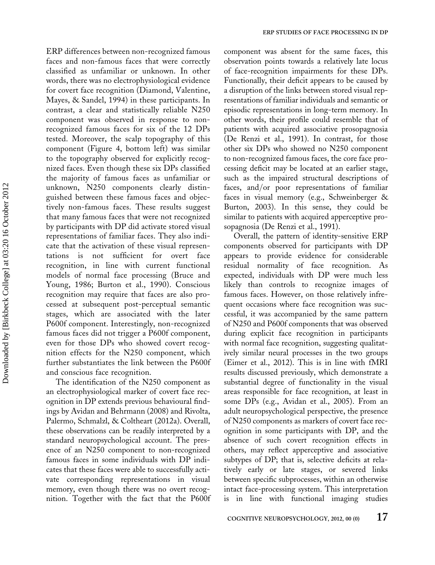ERP differences between non-recognized famous faces and non-famous faces that were correctly classified as unfamiliar or unknown. In other words, there was no electrophysiological evidence for covert face recognition (Diamond, Valentine, Mayes, & Sandel, 1994) in these participants. In contrast, a clear and statistically reliable N250 component was observed in response to nonrecognized famous faces for six of the 12 DPs tested. Moreover, the scalp topography of this component (Figure 4, bottom left) was similar to the topography observed for explicitly recognized faces. Even though these six DPs classified the majority of famous faces as unfamiliar or unknown, N250 components clearly distinguished between these famous faces and objectively non-famous faces. These results suggest that many famous faces that were not recognized by participants with DP did activate stored visual representations of familiar faces. They also indicate that the activation of these visual representations is not sufficient for overt face recognition, in line with current functional models of normal face processing (Bruce and Young, 1986; Burton et al., 1990). Conscious recognition may require that faces are also processed at subsequent post-perceptual semantic stages, which are associated with the later P600f component. Interestingly, non-recognized famous faces did not trigger a P600f component, even for those DPs who showed covert recognition effects for the N250 component, which further substantiates the link between the P600f and conscious face recognition.

The identification of the N250 component as an electrophysiological marker of covert face recognition in DP extends previous behavioural findings by Avidan and Behrmann (2008) and Rivolta, Palermo, Schmalzl, & Coltheart (2012a). Overall, these observations can be readily interpreted by a standard neuropsychological account. The presence of an N250 component to non-recognized famous faces in some individuals with DP indicates that these faces were able to successfully activate corresponding representations in visual memory, even though there was no overt recognition. Together with the fact that the P600f

component was absent for the same faces, this observation points towards a relatively late locus of face-recognition impairments for these DPs. Functionally, their deficit appears to be caused by a disruption of the links between stored visual representations of familiar individuals and semantic or episodic representations in long-term memory. In other words, their profile could resemble that of patients with acquired associative prosopagnosia (De Renzi et al., 1991). In contrast, for those other six DPs who showed no N250 component to non-recognized famous faces, the core face processing deficit may be located at an earlier stage, such as the impaired structural descriptions of faces, and/or poor representations of familiar faces in visual memory (e.g., Schweinberger & Burton, 2003). In this sense, they could be similar to patients with acquired apperceptive prosopagnosia (De Renzi et al., 1991).

Overall, the pattern of identity-sensitive ERP components observed for participants with DP appears to provide evidence for considerable residual normality of face recognition. As expected, individuals with DP were much less likely than controls to recognize images of famous faces. However, on those relatively infrequent occasions where face recognition was successful, it was accompanied by the same pattern of N250 and P600f components that was observed during explicit face recognition in participants with normal face recognition, suggesting qualitatively similar neural processes in the two groups (Eimer et al., 2012). This is in line with fMRI results discussed previously, which demonstrate a substantial degree of functionality in the visual areas responsible for face recognition, at least in some DPs (e.g., Avidan et al., 2005). From an adult neuropsychological perspective, the presence of N250 components as markers of covert face recognition in some participants with DP, and the absence of such covert recognition effects in others, may reflect apperceptive and associative subtypes of DP; that is, selective deficits at relatively early or late stages, or severed links between specific subprocesses, within an otherwise intact face-processing system. This interpretation is in line with functional imaging studies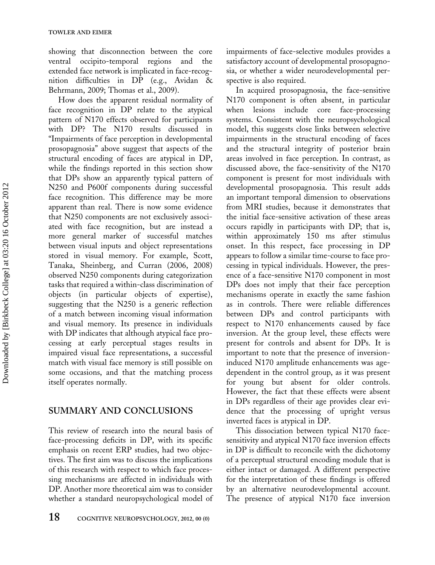showing that disconnection between the core ventral occipito-temporal regions and the extended face network is implicated in face-recognition difficulties in DP (e.g., Avidan & Behrmann, 2009; Thomas et al., 2009).

How does the apparent residual normality of face recognition in DP relate to the atypical pattern of N170 effects observed for participants with DP? The N170 results discussed in "Impairments of face perception in developmental prosopagnosia" above suggest that aspects of the structural encoding of faces are atypical in DP, while the findings reported in this section show that DPs show an apparently typical pattern of N250 and P600f components during successful face recognition. This difference may be more apparent than real. There is now some evidence that N250 components are not exclusively associated with face recognition, but are instead a more general marker of successful matches between visual inputs and object representations stored in visual memory. For example, Scott, Tanaka, Sheinberg, and Curran (2006, 2008) observed N250 components during categorization tasks that required a within-class discrimination of objects (in particular objects of expertise), suggesting that the N250 is a generic reflection of a match between incoming visual information and visual memory. Its presence in individuals with DP indicates that although atypical face processing at early perceptual stages results in impaired visual face representations, a successful match with visual face memory is still possible on some occasions, and that the matching process itself operates normally.

### SUMMARY AND CONCLUSIONS

This review of research into the neural basis of face-processing deficits in DP, with its specific emphasis on recent ERP studies, had two objectives. The first aim was to discuss the implications of this research with respect to which face processing mechanisms are affected in individuals with DP. Another more theoretical aim was to consider whether a standard neuropsychological model of impairments of face-selective modules provides a satisfactory account of developmental prosopagnosia, or whether a wider neurodevelopmental perspective is also required.

In acquired prosopagnosia, the face-sensitive N170 component is often absent, in particular when lesions include core face-processing systems. Consistent with the neuropsychological model, this suggests close links between selective impairments in the structural encoding of faces and the structural integrity of posterior brain areas involved in face perception. In contrast, as discussed above, the face-sensitivity of the N170 component is present for most individuals with developmental prosopagnosia. This result adds an important temporal dimension to observations from MRI studies, because it demonstrates that the initial face-sensitive activation of these areas occurs rapidly in participants with DP; that is, within approximately 150 ms after stimulus onset. In this respect, face processing in DP appears to follow a similar time-course to face processing in typical individuals. However, the presence of a face-sensitive N170 component in most DPs does not imply that their face perception mechanisms operate in exactly the same fashion as in controls. There were reliable differences between DPs and control participants with respect to N170 enhancements caused by face inversion. At the group level, these effects were present for controls and absent for DPs. It is important to note that the presence of inversioninduced N170 amplitude enhancements was agedependent in the control group, as it was present for young but absent for older controls. However, the fact that these effects were absent in DPs regardless of their age provides clear evidence that the processing of upright versus inverted faces is atypical in DP.

This dissociation between typical N170 facesensitivity and atypical N170 face inversion effects in DP is difficult to reconcile with the dichotomy of a perceptual structural encoding module that is either intact or damaged. A different perspective for the interpretation of these findings is offered by an alternative neurodevelopmental account. The presence of atypical N170 face inversion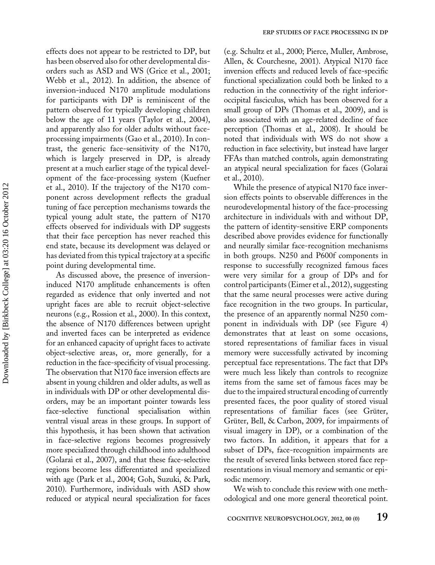effects does not appear to be restricted to DP, but has been observed also for other developmental disorders such as ASD and WS (Grice et al., 2001; Webb et al., 2012). In addition, the absence of inversion-induced N170 amplitude modulations for participants with DP is reminiscent of the pattern observed for typically developing children below the age of 11 years (Taylor et al., 2004), and apparently also for older adults without faceprocessing impairments (Gao et al., 2010). In contrast, the generic face-sensitivity of the N170, which is largely preserved in DP, is already present at a much earlier stage of the typical development of the face-processing system (Kuefner et al., 2010). If the trajectory of the N170 component across development reflects the gradual tuning of face perception mechanisms towards the typical young adult state, the pattern of N170 effects observed for individuals with DP suggests that their face perception has never reached this end state, because its development was delayed or has deviated from this typical trajectory at a specific point during developmental time.

As discussed above, the presence of inversioninduced N170 amplitude enhancements is often regarded as evidence that only inverted and not upright faces are able to recruit object-selective neurons (e.g., Rossion et al., 2000). In this context, the absence of N170 differences between upright and inverted faces can be interpreted as evidence for an enhanced capacity of upright faces to activate object-selective areas, or, more generally, for a reduction in the face-specificity of visual processing. The observation that N170 face inversion effects are absent in young children and older adults, as well as in individuals with DP or other developmental disorders, may be an important pointer towards less face-selective functional specialisation within ventral visual areas in these groups. In support of this hypothesis, it has been shown that activation in face-selective regions becomes progressively more specialized through childhood into adulthood (Golarai et al., 2007), and that these face-selective regions become less differentiated and specialized with age (Park et al., 2004; Goh, Suzuki, & Park, 2010). Furthermore, individuals with ASD show reduced or atypical neural specialization for faces

(e.g. Schultz et al., 2000; Pierce, Muller, Ambrose, Allen, & Courchesne, 2001). Atypical N170 face inversion effects and reduced levels of face-specific functional specialization could both be linked to a reduction in the connectivity of the right inferioroccipital fasciculus, which has been observed for a small group of DPs (Thomas et al., 2009), and is also associated with an age-related decline of face perception (Thomas et al., 2008). It should be noted that individuals with WS do not show a reduction in face selectivity, but instead have larger FFAs than matched controls, again demonstrating an atypical neural specialization for faces (Golarai et al., 2010).

While the presence of atypical N170 face inversion effects points to observable differences in the neurodevelopmental history of the face-processing architecture in individuals with and without DP, the pattern of identity-sensitive ERP components described above provides evidence for functionally and neurally similar face-recognition mechanisms in both groups. N250 and P600f components in response to successfully recognized famous faces were very similar for a group of DPs and for control participants (Eimer et al., 2012), suggesting that the same neural processes were active during face recognition in the two groups. In particular, the presence of an apparently normal N250 component in individuals with DP (see Figure 4) demonstrates that at least on some occasions, stored representations of familiar faces in visual memory were successfully activated by incoming perceptual face representations. The fact that DPs were much less likely than controls to recognize items from the same set of famous faces may be due to the impaired structural encoding of currently presented faces, the poor quality of stored visual representations of familiar faces (see Grüter, Grüter, Bell, & Carbon, 2009, for impairments of visual imagery in DP), or a combination of the two factors. In addition, it appears that for a subset of DPs, face-recognition impairments are the result of severed links between stored face representations in visual memory and semantic or episodic memory.

We wish to conclude this review with one methodological and one more general theoretical point.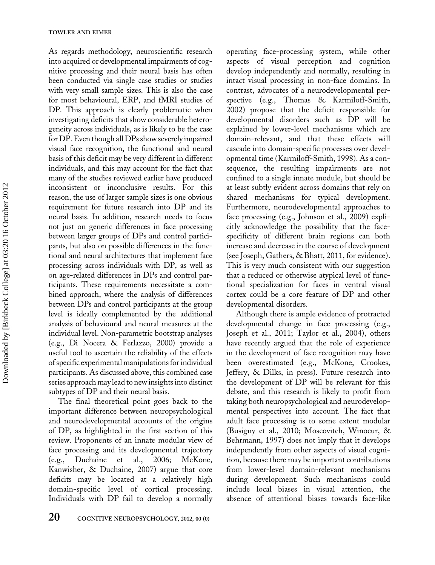As regards methodology, neuroscientific research into acquired or developmental impairments of cognitive processing and their neural basis has often been conducted via single case studies or studies with very small sample sizes. This is also the case for most behavioural, ERP, and fMRI studies of DP. This approach is clearly problematic when investigating deficits that show considerable heterogeneity across individuals, as is likely to be the case for DP. Even though all DPs show severely impaired visual face recognition, the functional and neural basis of this deficit may be very different in different individuals, and this may account for the fact that many of the studies reviewed earlier have produced inconsistent or inconclusive results. For this reason, the use of larger sample sizes is one obvious requirement for future research into DP and its neural basis. In addition, research needs to focus not just on generic differences in face processing between larger groups of DPs and control participants, but also on possible differences in the functional and neural architectures that implement face processing across individuals with DP, as well as on age-related differences in DPs and control participants. These requirements necessitate a combined approach, where the analysis of differences between DPs and control participants at the group level is ideally complemented by the additional analysis of behavioural and neural measures at the individual level. Non-parametric bootstrap analyses (e.g., Di Nocera & Ferlazzo, 2000) provide a useful tool to ascertain the reliability of the effects of specific experimental manipulations for individual participants. As discussed above, this combined case series approach may lead to new insights into distinct subtypes of DP and their neural basis.

The final theoretical point goes back to the important difference between neuropsychological and neurodevelopmental accounts of the origins of DP, as highlighted in the first section of this review. Proponents of an innate modular view of face processing and its developmental trajectory (e.g., Duchaine et al., 2006; McKone, Kanwisher, & Duchaine, 2007) argue that core deficits may be located at a relatively high domain-specific level of cortical processing. Individuals with DP fail to develop a normally operating face-processing system, while other aspects of visual perception and cognition develop independently and normally, resulting in intact visual processing in non-face domains. In contrast, advocates of a neurodevelopmental perspective (e.g., Thomas & Karmiloff-Smith, 2002) propose that the deficit responsible for developmental disorders such as DP will be explained by lower-level mechanisms which are domain-relevant, and that these effects will cascade into domain-specific processes over developmental time (Karmiloff-Smith, 1998). As a consequence, the resulting impairments are not confined to a single innate module, but should be at least subtly evident across domains that rely on shared mechanisms for typical development. Furthermore, neurodevelopmental approaches to face processing (e.g., Johnson et al., 2009) explicitly acknowledge the possibility that the facespecificity of different brain regions can both increase and decrease in the course of development (see Joseph, Gathers, & Bhatt, 2011, for evidence). This is very much consistent with our suggestion that a reduced or otherwise atypical level of functional specialization for faces in ventral visual cortex could be a core feature of DP and other developmental disorders.

Although there is ample evidence of protracted developmental change in face processing (e.g., Joseph et al., 2011; Taylor et al., 2004), others have recently argued that the role of experience in the development of face recognition may have been overestimated (e.g., McKone, Crookes, Jeffery, & Dilks, in press). Future research into the development of DP will be relevant for this debate, and this research is likely to profit from taking both neuropsychological and neurodevelopmental perspectives into account. The fact that adult face processing is to some extent modular (Busigny et al., 2010; Moscovitch, Winocur, & Behrmann, 1997) does not imply that it develops independently from other aspects of visual cognition, because there may be important contributions from lower-level domain-relevant mechanisms during development. Such mechanisms could include local biases in visual attention, the absence of attentional biases towards face-like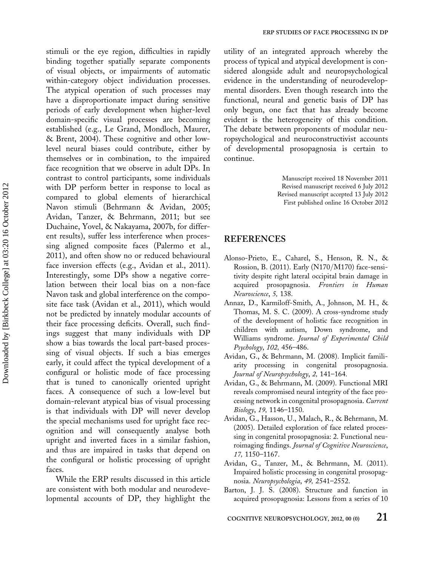stimuli or the eye region, difficulties in rapidly binding together spatially separate components of visual objects, or impairments of automatic within-category object individuation processes. The atypical operation of such processes may have a disproportionate impact during sensitive periods of early development when higher-level domain-specific visual processes are becoming established (e.g., Le Grand, Mondloch, Maurer, & Brent, 2004). These cognitive and other lowlevel neural biases could contribute, either by themselves or in combination, to the impaired face recognition that we observe in adult DPs. In contrast to control participants, some individuals with DP perform better in response to local as compared to global elements of hierarchical Navon stimuli (Behrmann & Avidan, 2005; Avidan, Tanzer, & Behrmann, 2011; but see Duchaine, Yovel, & Nakayama, 2007b, for different results), suffer less interference when processing aligned composite faces (Palermo et al., 2011), and often show no or reduced behavioural face inversion effects (e.g., Avidan et al., 2011). Interestingly, some DPs show a negative correlation between their local bias on a non-face Navon task and global interference on the composite face task (Avidan et al., 2011), which would not be predicted by innately modular accounts of their face processing deficits. Overall, such findings suggest that many individuals with DP show a bias towards the local part-based processing of visual objects. If such a bias emerges early, it could affect the typical development of a configural or holistic mode of face processing that is tuned to canonically oriented upright faces. A consequence of such a low-level but domain-relevant atypical bias of visual processing is that individuals with DP will never develop the special mechanisms used for upright face recognition and will consequently analyse both upright and inverted faces in a similar fashion, and thus are impaired in tasks that depend on the configural or holistic processing of upright faces.

While the ERP results discussed in this article are consistent with both modular and neurodevelopmental accounts of DP, they highlight the

utility of an integrated approach whereby the process of typical and atypical development is considered alongside adult and neuropsychological evidence in the understanding of neurodevelopmental disorders. Even though research into the functional, neural and genetic basis of DP has only begun, one fact that has already become evident is the heterogeneity of this condition. The debate between proponents of modular neuropsychological and neuroconstructivist accounts of developmental prosopagnosia is certain to continue.

> Manuscript received 18 November 2011 Revised manuscript received 6 July 2012 Revised manuscript accepted 13 July 2012 First published online 16 October 2012

#### **REFERENCES**

- Alonso-Prieto, E., Caharel, S., Henson, R. N., & Rossion, B. (2011). Early (N170/M170) face-sensitivity despite right lateral occipital brain damage in acquired prosopagnosia. Frontiers in Human Neuroscience, 5, 138.
- Annaz, D., Karmiloff-Smith, A., Johnson, M. H., & Thomas, M. S. C. (2009). A cross-syndrome study of the development of holistic face recognition in children with autism, Down syndrome, and Williams syndrome. Journal of Experimental Child Psychology, 102, 456–486.
- Avidan, G., & Behrmann, M. (2008). Implicit familiarity processing in congenital prosopagnosia. Journal of Neuropsychology, 2, 141–164.
- Avidan, G., & Behrmann, M. (2009). Functional MRI reveals compromised neural integrity of the face processing network in congenital prosopagnosia. Current Biology, 19, 1146–1150.
- Avidan, G., Hasson, U., Malach, R., & Behrmann, M. (2005). Detailed exploration of face related processing in congenital prosopagnosia: 2. Functional neuroimaging findings. Journal of Cognitive Neuroscience, 17, 1150–1167.
- Avidan, G., Tanzer, M., & Behrmann, M. (2011). Impaired holistic processing in congenital prosopagnosia. Neuropsychologia, 49, 2541–2552.
- Barton, J. J. S. (2008). Structure and function in acquired prosopagnosia: Lessons from a series of 10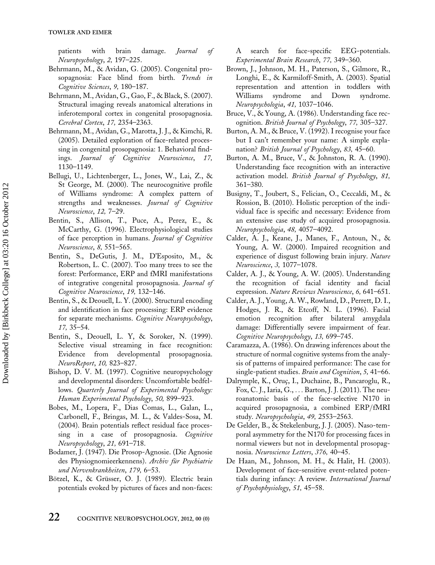patients with brain damage. Journal of Neuropsychology, 2, 197–225.

- Behrmann, M., & Avidan, G. (2005). Congenital prosopagnosia: Face blind from birth. Trends in Cognitive Sciences, 9, 180–187.
- Behrmann, M., Avidan, G., Gao, F., & Black, S. (2007). Structural imaging reveals anatomical alterations in inferotemporal cortex in congenital prosopagnosia. Cerebral Cortex, 17, 2354–2363.
- Behrmann, M., Avidan, G., Marotta, J. J., & Kimchi, R. (2005). Detailed exploration of face-related processing in congenital prosopagnosia: 1. Behavioral findings. Journal of Cognitive Neuroscience, 17, 1130–1149.
- Bellugi, U., Lichtenberger, L., Jones, W., Lai, Z., & St George, M. (2000). The neurocognitive profile of Williams syndrome: A complex pattern of strengths and weaknesses. Journal of Cognitive Neuroscience, 12, 7–29.
- Bentin, S., Allison, T., Puce, A., Perez, E., & McCarthy, G. (1996). Electrophysiological studies of face perception in humans. Journal of Cognitive Neuroscience, 8, 551–565.
- Bentin, S., DeGutis, J. M., D'Esposito, M., & Robertson, L. C. (2007). Too many trees to see the forest: Performance, ERP and fMRI manifestations of integrative congenital prosopagnosia. Journal of Cognitive Neuroscience, 19, 132–146.
- Bentin, S., & Deouell, L. Y. (2000). Structural encoding and identification in face processing: ERP evidence for separate mechanisms. Cognitive Neuropsychology, 17, 35–54.
- Bentin, S., Deouell, L. Y, & Soroker, N. (1999). Selective visual streaming in face recognition: Evidence from developmental prosopagnosia. NeuroReport, 10, 823–827.
- Bishop, D. V. M. (1997). Cognitive neuropsychology and developmental disorders: Uncomfortable bedfellows. Quarterly Journal of Experimental Psychology: Human Experimental Psychology, 50, 899–923.
- Bobes, M., Lopera, F., Dias Comas, L., Galan, L., Carbonell, F., Bringas, M. L., & Valdes-Sosa, M. (2004). Brain potentials reflect residual face processing in a case of prosopagnosia. Cognitive Neuropsychology, 21, 691–718.
- Bodamer, J. (1947). Die Prosop-Agnosie. (Die Agnosie des Physiognomieerkennens). Archiv für Psychiatrie und Nervenkrankheiten, 179, 6–53.
- Bötzel, K., & Grüsser, O. J. (1989). Electric brain potentials evoked by pictures of faces and non-faces:

A search for face-specific EEG-potentials. Experimental Brain Research, 77, 349–360.

- Brown, J., Johnson, M. H., Paterson, S., Gilmore, R., Longhi, E., & Karmiloff-Smith, A. (2003). Spatial representation and attention in toddlers with Williams syndrome and Down syndrome. Neuropsychologia, 41, 1037–1046.
- Bruce, V., & Young, A. (1986). Understanding face recognition. British Journal of Psychology, 77, 305–327.
- Burton, A. M., & Bruce, V. (1992). I recognise your face but I can't remember your name: A simple explanation? British Journal of Psychology, 83, 45–60.
- Burton, A. M., Bruce, V., & Johnston, R. A. (1990). Understanding face recognition with an interactive activation model. British Journal of Psychology, 81, 361–380.
- Busigny, T., Joubert, S., Felician, O., Ceccaldi, M., & Rossion, B. (2010). Holistic perception of the individual face is specific and necessary: Evidence from an extensive case study of acquired prosopagnosia. Neuropsychologia, 48, 4057–4092.
- Calder, A. J., Keane, J., Manes, F., Antoun, N., & Young, A. W. (2000). Impaired recognition and experience of disgust following brain injury. Nature Neuroscience, 3, 1077–1078.
- Calder, A. J., & Young, A. W. (2005). Understanding the recognition of facial identity and facial expression. Nature Reviews Neuroscience, 6, 641–651.
- Calder, A. J., Young, A. W., Rowland, D., Perrett, D. I., Hodges, J. R., & Etcoff, N. L. (1996). Facial emotion recognition after bilateral amygdala damage: Differentially severe impairment of fear. Cognitive Neuropsychology, 13, 699–745.
- Caramazza, A. (1986). On drawing inferences about the structure of normal cognitive systems from the analysis of patterns of impaired performance: The case for single-patient studies. Brain and Cognition, 5, 41-66.
- Dalrymple, K., Oruç, I., Duchaine, B., Pancaroglu, R., Fox, C. J., Iaria, G., ... Barton, J. J. (2011). The neuroanatomic basis of the face-selective N170 in acquired prosopagnosia, a combined ERP/fMRI study. Neuropsychologia, 49, 2553–2563.
- De Gelder, B., & Stekelenburg, J. J. (2005). Naso-temporal asymmetry for the N170 for processing faces in normal viewers but not in developmental prosopagnosia. Neuroscience Letters, 376, 40–45.
- De Haan, M., Johnson, M. H., & Halit, H. (2003). Development of face-sensitive event-related potentials during infancy: A review. International Journal of Psychophysiology, 51, 45–58.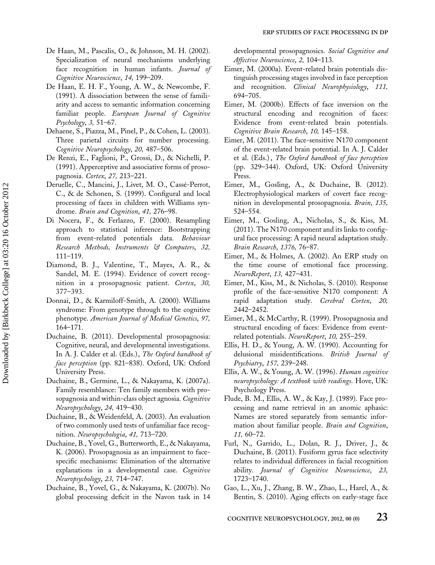- De Haan, M., Pascalis, O., & Johnson, M. H. (2002). Specialization of neural mechanisms underlying face recognition in human infants. Journal of Cognitive Neuroscience, 14, 199–209.
- De Haan, E. H. F., Young, A. W., & Newcombe, F. (1991). A dissociation between the sense of familiarity and access to semantic information concerning familiar people. European Journal of Cognitive Psychology, 3, 51–67.
- Dehaene, S., Piazza, M., Pinel, P., & Cohen, L. (2003). Three parietal circuits for number processing. Cognitive Neuropsychology, 20, 487–506.
- De Renzi, E., Faglioni, P., Grossi, D., & Nichelli, P. (1991). Apperceptive and associative forms of prosopagnosia. Cortex, 27, 213–221.
- Deruelle, C., Mancini, J., Livet, M. O., Cassé-Perrot, C., & de Schonen, S. (1999). Configural and local processing of faces in children with Williams syndrome. Brain and Cognition, 41, 276–98.
- Di Nocera, F., & Ferlazzo, F. (2000). Resampling approach to statistical inference: Bootstrapping from event-related potentials data. Behaviour Research Methods, Instruments & Computers, 32, 111–119.
- Diamond, B. J., Valentine, T., Mayes, A. R., & Sandel, M. E. (1994). Evidence of covert recognition in a prosopagnosic patient. Cortex, 30, 377–393.
- Donnai, D., & Karmiloff-Smith, A. (2000). Williams syndrome: From genotype through to the cognitive phenotype. American Journal of Medical Genetics, 97, 164–171.
- Duchaine, B. (2011). Developmental prosopagnosia: Cognitive, neural, and developmental investigations. In A. J. Calder et al. (Eds.), The Oxford handbook of face perception (pp. 821–838). Oxford, UK: Oxford University Press.
- Duchaine, B., Germine, L., & Nakayama, K. (2007a). Family resemblance: Ten family members with prosopagnosia and within-class object agnosia. Cognitive Neuropsychology, 24, 419–430.
- Duchaine, B., & Weidenfeld, A. (2003). An evaluation of two commonly used tests of unfamiliar face recognition. Neuropsychologia, 41, 713–720.
- Duchaine, B., Yovel, G., Butterworth, E., & Nakayama, K. (2006). Prosopagnosia as an impairment to facespecific mechanisms: Elimination of the alternative explanations in a developmental case. Cognitive Neuropsychology, 23, 714–747.
- Duchaine, B., Yovel, G., & Nakayama, K. (2007b). No global processing deficit in the Navon task in 14

developmental prosopagnosics. Social Cognitive and Affective Neuroscience, 2, 104–113.

- Eimer, M. (2000a). Event-related brain potentials distinguish processing stages involved in face perception and recognition. Clinical Neurophysiology, 111, 694–705.
- Eimer, M. (2000b). Effects of face inversion on the structural encoding and recognition of faces: Evidence from event-related brain potentials. Cognitive Brain Research, 10, 145–158.
- Eimer, M. (2011). The face-sensitive N170 component of the event-related brain potential. In A. J. Calder et al. (Eds.) , The Oxford handbook of face perception (pp. 329–344). Oxford, UK: Oxford University Press.
- Eimer, M., Gosling, A., & Duchaine, B. (2012). Electrophysiological markers of covert face recognition in developmental prosopagnosia. Brain, 135, 524–554.
- Eimer, M., Gosling, A., Nicholas, S., & Kiss, M. (2011). The N170 component and its links to configural face processing: A rapid neural adaptation study. Brain Research, 1376, 76–87.
- Eimer, M., & Holmes, A. (2002). An ERP study on the time course of emotional face processing. NeuroReport, 13, 427–431.
- Eimer, M., Kiss, M., & Nicholas, S. (2010). Response profile of the face-sensitive N170 component: A rapid adaptation study. Cerebral Cortex, 20, 2442–2452.
- Eimer, M., & McCarthy, R. (1999). Prosopagnosia and structural encoding of faces: Evidence from eventrelated potentials. NeuroReport, 10, 255–259.
- Ellis, H. D., & Young, A. W. (1990). Accounting for delusional misidentifications. British Journal of Psychiatry, 157, 239–248.
- Ellis, A. W., & Young, A. W. (1996). Human cognitive neuropsychology: A textbook with readings. Hove, UK: Psychology Press.
- Flude, B. M., Ellis, A. W., & Kay, J. (1989). Face processing and name retrieval in an anomic aphasic: Names are stored separately from semantic information about familiar people. Brain and Cognition, 11, 60–72.
- Furl, N., Garrido, L., Dolan, R. J., Driver, J., & Duchaine, B. (2011). Fusiform gyrus face selectivity relates to individual differences in facial recognition ability. Journal of Cognitive Neuroscience, 23, 1723–1740.
- Gao, L., Xu, J., Zhang, B. W., Zhao, L., Harel, A., & Bentin, S. (2010). Aging effects on early-stage face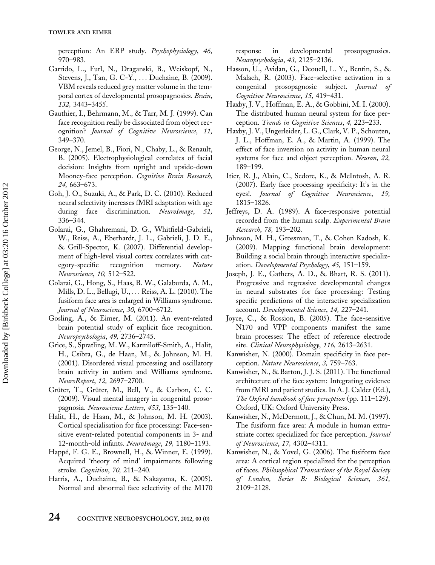perception: An ERP study. Psychophysiology, 46, 970–983.

- Garrido, L., Furl, N., Draganski, B., Weiskopf, N., Stevens, J., Tan, G. C-Y., ... Duchaine, B. (2009). VBM reveals reduced grey matter volume in the temporal cortex of developmental prosopagnosics. Brain, 132, 3443–3455.
- Gauthier, I., Behrmann, M., & Tarr, M. J. (1999). Can face recognition really be dissociated from object recognition? Journal of Cognitive Neuroscience, 11, 349–370.
- George, N., Jemel, B., Fiori, N., Chaby, L., & Renault, B. (2005). Electrophysiological correlates of facial decision: Insights from upright and upside-down Mooney-face perception. Cognitive Brain Research, 24, 663–673.
- Goh, J. O., Suzuki, A., & Park, D. C. (2010). Reduced neural selectivity increases fMRI adaptation with age during face discrimination. NeuroImage, 51, 336–344.
- Golarai, G., Ghahremani, D. G., Whitfield-Gabrieli, W., Reiss, A., Eberhardt, J. L., Gabrieli, J. D. E., & Grill-Spector, K. (2007). Differential development of high-level visual cortex correlates with category-specific recognition memory. Nature Neuroscience, 10, 512–522.
- Golarai, G., Hong, S., Haas, B. W., Galaburda, A. M., Mills, D. L., Bellugi, U., ... Reiss, A. L. (2010). The fusiform face area is enlarged in Williams syndrome. Journal of Neuroscience, 30, 6700–6712.
- Gosling, A., & Eimer, M. (2011). An event-related brain potential study of explicit face recognition. Neuropsychologia, 49, 2736–2745.
- Grice, S., Spratling, M. W., Karmiloff-Smith, A., Halit, H., Csibra, G., de Haan, M., & Johnson, M. H. (2001). Disordered visual processing and oscillatory brain activity in autism and Williams syndrome. NeuroReport, 12, 2697–2700.
- Grüter, T., Grüter, M., Bell, V., & Carbon, C. C. (2009). Visual mental imagery in congenital prosopagnosia. Neuroscience Letters, 453, 135–140.
- Halit, H., de Haan, M., & Johnson, M. H. (2003). Cortical specialisation for face processing: Face-sensitive event-related potential components in 3- and 12-month-old infants. NeuroImage, 19, 1180–1193.
- Happé, F. G. E., Brownell, H., & Winner, E. (1999). Acquired 'theory of mind' impairments following stroke. Cognition, 70, 211–240.
- Harris, A., Duchaine, B., & Nakayama, K. (2005). Normal and abnormal face selectivity of the M170

response in developmental prosopagnosics. Neuropsychologia, 43, 2125–2136.

- Hasson, U., Avidan, G., Deouell, L. Y., Bentin, S., & Malach, R. (2003). Face-selective activation in a congenital prosopagnosic subject. Journal of Cognitive Neuroscience, 15, 419–431.
- Haxby, J. V., Hoffman, E. A., & Gobbini, M. I. (2000). The distributed human neural system for face perception. Trends in Cognitive Sciences, 4, 223–233.
- Haxby, J. V., Ungerleider, L. G., Clark, V. P., Schouten, J. L., Hoffman, E. A., & Martin, A. (1999). The effect of face inversion on activity in human neural systems for face and object perception. Neuron, 22, 189–199.
- Itier, R. J., Alain, C., Sedore, K., & McIntosh, A. R. (2007). Early face processing specificity: It's in the eyes!. Journal of Cognitive Neuroscience, 19, 1815–1826.
- Jeffreys, D. A. (1989). A face-responsive potential recorded from the human scalp. Experimental Brain Research, 78, 193–202.
- Johnson, M. H., Grossman, T., & Cohen Kadosh, K. (2009). Mapping functional brain development: Building a social brain through interactive specialization. Developmental Psychology, 45, 151–159.
- Joseph, J. E., Gathers, A. D., & Bhatt, R. S. (2011). Progressive and regressive developmental changes in neural substrates for face processing: Testing specific predictions of the interactive specialization account. Developmental Science, 14, 227–241.
- Joyce, C., & Rossion, B. (2005). The face-sensitive N170 and VPP components manifest the same brain processes: The effect of reference electrode site. Clinical Neurophysiology, 116, 2613-2631.
- Kanwisher, N. (2000). Domain specificity in face perception. Nature Neuroscience, 3, 759–763.
- Kanwisher, N., & Barton, J. J. S. (2011). The functional architecture of the face system: Integrating evidence from fMRI and patient studies. In A. J. Calder (Ed.), The Oxford handbook of face perception (pp. 111–129). Oxford, UK: Oxford University Press.
- Kanwisher, N., McDermott, J., & Chun, M. M. (1997). The fusiform face area: A module in human extrastriate cortex specialized for face perception. Journal of Neuroscience, 17, 4302–4311.
- Kanwisher, N., & Yovel, G. (2006). The fusiform face area: A cortical region specialized for the perception of faces. Philosophical Transactions of the Royal Society of London, Series B: Biological Sciences, 361, 2109–2128.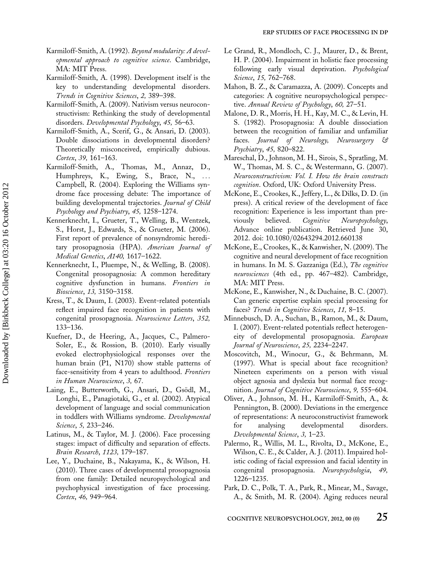- Karmiloff-Smith, A. (1992). Beyond modularity: A developmental approach to cognitive science. Cambridge, MA: MIT Press.
- Karmiloff-Smith, A. (1998). Development itself is the key to understanding developmental disorders. Trends in Cognitive Sciences, 2, 389–398.
- Karmiloff-Smith, A. (2009). Nativism versus neuroconstructivism: Rethinking the study of developmental disorders. Developmental Psychology, 45, 56-63.
- Karmiloff-Smith, A., Scerif, G., & Ansari, D. (2003). Double dissociations in developmental disorders? Theoretically misconceived, empirically dubious. Cortex, 39, 161–163.
- Karmiloff-Smith, A., Thomas, M., Annaz, D., Humphreys, K., Ewing, S., Brace, N., ... Campbell, R. (2004). Exploring the Williams syndrome face processing debate: The importance of building developmental trajectories. Journal of Child Psychology and Psychiatry, 45, 1258–1274.
- Kennerknecht, I., Grueter, T., Welling, B., Wentzek, S., Horst, J., Edwards, S., & Grueter, M. (2006). First report of prevalence of nonsyndromic hereditary prosopagnosia (HPA). American Journal of Medical Genetics, A140, 1617–1622.
- Kennerknecht, I., Pluempe, N., & Welling, B. (2008). Congenital prosopagnosia: A common hereditary cognitive dysfunction in humans. Frontiers in Bioscience, 13, 3150–3158.
- Kress, T., & Daum, I. (2003). Event-related potentials reflect impaired face recognition in patients with congenital prosopagnosia. Neuroscience Letters, 352, 133–136.
- Kuefner, D., de Heering, A., Jacques, C., Palmero-Soler, E., & Rossion, B. (2010). Early visually evoked electrophysiological responses over the human brain (P1, N170) show stable patterns of face-sensitivity from 4 years to adulthood. Frontiers in Human Neuroscience, 3, 67.
- Laing, E., Butterworth, G., Ansari, D., Gsödl, M., Longhi, E., Panagiotaki, G., et al. (2002). Atypical development of language and social communication in toddlers with Williams syndrome. Developmental Science, 5, 233–246.
- Latinus, M., & Taylor, M. J. (2006). Face processing stages: impact of difficulty and separation of effects. Brain Research, 1123, 179–187.
- Lee, Y., Duchaine, B., Nakayama, K., & Wilson, H. (2010). Three cases of developmental prosopagnosia from one family: Detailed neuropsychological and psychophysical investigation of face processing. Cortex, 46, 949–964.
- Le Grand, R., Mondloch, C. J., Maurer, D., & Brent, H. P. (2004). Impairment in holistic face processing following early visual deprivation. Psychological Science, 15, 762–768.
- Mahon, B. Z., & Caramazza, A. (2009). Concepts and categories: A cognitive neuropsychological perspective. Annual Review of Psychology, 60, 27–51.
- Malone, D. R., Morris, H. H., Kay, M. C., & Levin, H. S. (1982). Prosopagnosia: A double dissociation between the recognition of familiar and unfamiliar faces. Journal of Neurology, Neurosurgery & Psychiatry, 45, 820–822.
- Mareschal, D., Johnson, M. H., Sirois, S., Spratling, M. W., Thomas, M. S. C., & Westermann, G. (2007). Neuroconstructivism: Vol. I. How the brain constructs cognition. Oxford, UK: Oxford University Press.
- McKone, E., Crookes, K., Jeffery, L., & Dilks, D. D. (in press). A critical review of the development of face recognition: Experience is less important than previously believed. Cognitive Neuropsychology, Advance online publication. Retrieved June 30, 2012. doi: 10.1080/02643294.2012.660138
- McKone, E., Crookes, K., & Kanwisher, N. (2009). The cognitive and neural development of face recognition in humans. In M. S. Gazzaniga (Ed.), The cognitive neurosciences (4th ed., pp. 467–482). Cambridge, MA: MIT Press.
- McKone, E., Kanwisher, N., & Duchaine, B. C. (2007). Can generic expertise explain special processing for faces? Trends in Cognitive Sciences, 11, 8-15.
- Minnebusch, D. A., Suchan, B., Ramon, M., & Daum, I. (2007). Event-related potentials reflect heterogeneity of developmental prosopagnosia. European Journal of Neuroscience, 25, 2234–2247.
- Moscovitch, M., Winocur, G., & Behrmann, M. (1997). What is special about face recognition? Nineteen experiments on a person with visual object agnosia and dyslexia but normal face recognition. Journal of Cognitive Neuroscience, 9, 555–604.
- Oliver, A., Johnson, M. H., Karmiloff-Smith, A., & Pennington, B. (2000). Deviations in the emergence of representations: A neuroconstructivist framework for analysing developmental disorders. Developmental Science, 3, 1–23.
- Palermo, R., Willis, M. L., Rivolta, D., McKone, E., Wilson, C. E., & Calder, A. J. (2011). Impaired holistic coding of facial expression and facial identity in congenital prosopagnosia. Neuropsychologia, 49, 1226–1235.
- Park, D. C., Polk, T. A., Park, R., Minear, M., Savage, A., & Smith, M. R. (2004). Aging reduces neural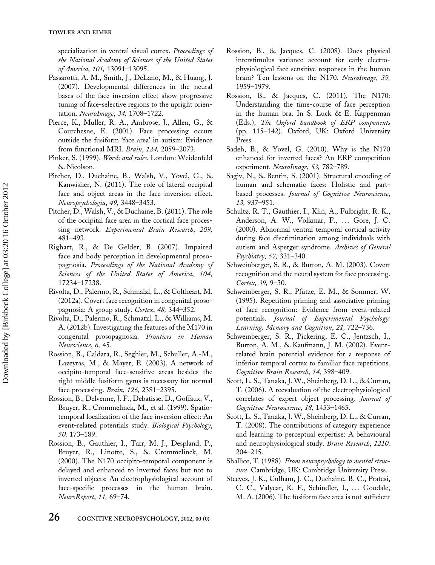specialization in ventral visual cortex. Proceedings of the National Academy of Sciences of the United States of America, 101, 13091–13095.

- Passarotti, A. M., Smith, J., DeLano, M., & Huang, J. (2007). Developmental differences in the neural bases of the face inversion effect show progressive tuning of face-selective regions to the upright orientation. NeuroImage, 34, 1708–1722.
- Pierce, K., Muller, R. A., Ambrose, J., Allen, G., & Courchesne, E. (2001). Face processing occurs outside the fusiform 'face area' in autism: Evidence from functional MRI. Brain, 124, 2059–2073.
- Pinker, S. (1999). Words and rules. London: Weidenfeld & Nicolson.
- Pitcher, D., Duchaine, B., Walsh, V., Yovel, G., & Kanwisher, N. (2011). The role of lateral occipital face and object areas in the face inversion effect. Neuropsychologia, 49, 3448–3453.
- Pitcher, D., Walsh, V., & Duchaine, B. (2011). The role of the occipital face area in the cortical face processing network. Experimental Brain Research, 209, 481–493.
- Righart, R., & De Gelder, B. (2007). Impaired face and body perception in developmental prosopagnosia. Proceedings of the National Academy of Sciences of the United States of America, 104, 17234–17238.
- Rivolta, D., Palermo, R., Schmalzl, L., & Coltheart, M. (2012a). Covert face recognition in congenital prosopagnosia: A group study. Cortex, 48, 344-352.
- Rivolta, D., Palermo, R., Schmatzl, L., & Williams, M. A. (2012b). Investigating the features of the M170 in congenital prosopagnosia. Frontiers in Human Neurocience, 6, 45.
- Rossion, B., Caldara, R., Seghier, M., Schuller, A.-M., Lazeyras, M., & Mayer, E. (2003). A network of occipito-temporal face-sensitive areas besides the right middle fusiform gyrus is necessary for normal face processing. Brain, 126, 2381–2395.
- Rossion, B., Delvenne, J. F., Debatisse, D., Goffaux, V., Bruyer, R., Crommelinck, M., et al. (1999). Spatiotemporal localization of the face inversion effect: An event-related potentials study. Biological Psychology, 50, 173–189.
- Rossion, B., Gauthier, I., Tarr, M. J., Despland, P., Bruyer, R., Linotte, S., & Crommelinck, M. (2000). The N170 occipito-temporal component is delayed and enhanced to inverted faces but not to inverted objects: An electrophysiological account of face-specific processes in the human brain. NeuroReport, 11, 69–74.
- Rossion, B., & Jacques, C. (2008). Does physical interstimulus variance account for early electrophysiological face sensitive responses in the human brain? Ten lessons on the N170. NeuroImage, 39, 1959–1979.
- Rossion, B., & Jacques, C. (2011). The N170: Understanding the time-course of face perception in the human bra. In S. Luck & E. Kappenman (Eds.), The Oxford handbook of ERP components (pp. 115–142). Oxford, UK: Oxford University Press.
- Sadeh, B., & Yovel, G. (2010). Why is the N170 enhanced for inverted faces? An ERP competition experiment. NeuroImage, 53, 782–789.
- Sagiv, N., & Bentin, S. (2001). Structural encoding of human and schematic faces: Holistic and partbased processes. Journal of Cognitive Neuroscience, 13, 937–951.
- Schultz, R. T., Gauthier, I., Klin, A., Fulbright, R. K., Anderson, A. W., Volkmar, F., ... Gore, J. C. (2000). Abnormal ventral temporal cortical activity during face discrimination among individuals with autism and Asperger syndrome. Archives of General Psychiatry, 57, 331–340.
- Schweinberger, S. R., & Burton, A. M. (2003). Covert recognition and the neural system for face processing. Cortex, 39, 9–30.
- Schweinberger, S. R., Pfütze, E. M., & Sommer, W. (1995). Repetition priming and associative priming of face recognition: Evidence from event-related potentials. Journal of Experimental Psychology: Learning, Memory and Cognition, 21, 722–736.
- Schweinberger, S. R., Pickering, E. C., Jentzsch, I., Burton, A. M., & Kaufmann, J. M. (2002). Eventrelated brain potential evidence for a response of inferior temporal cortex to familiar face repetitions. Cognitive Brain Research, 14, 398–409.
- Scott, L. S., Tanaka, J. W., Sheinberg, D. L., & Curran, T. (2006). A reevaluation of the electrophysiological correlates of expert object processing. Journal of Cognitive Neuroscience, 18, 1453–1465.
- Scott, L. S., Tanaka, J. W., Sheinberg, D. L., & Curran, T. (2008). The contributions of category experience and learning to perceptual expertise: A behavioural and neurophysiological study. Brain Research, 1210, 204–215.
- Shallice, T. (1988). From neuropsychology to mental structure. Cambridge, UK: Cambridge University Press.
- Steeves, J. K., Culham, J. C., Duchaine, B. C., Pratesi, C. C., Valyear, K. F., Schindler, I., ... Goodale, M. A. (2006). The fusiform face area is not sufficient